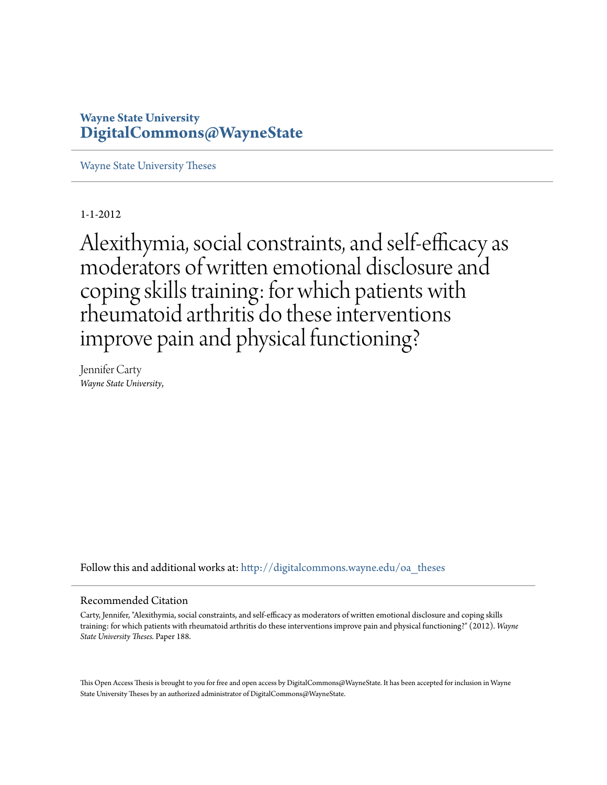# **Wayne State University [DigitalCommons@WayneState](http://digitalcommons.wayne.edu?utm_source=digitalcommons.wayne.edu%2Foa_theses%2F188&utm_medium=PDF&utm_campaign=PDFCoverPages)**

[Wayne State University Theses](http://digitalcommons.wayne.edu/oa_theses?utm_source=digitalcommons.wayne.edu%2Foa_theses%2F188&utm_medium=PDF&utm_campaign=PDFCoverPages)

1-1-2012

Alexithymia, social constraints, and self-efficacy as moderators of written emotional disclosure and coping skills training: for which patients with rheumatoid arthritis do these interventions improve pain and physical functioning?

Jennifer Carty *Wayne State University*,

Follow this and additional works at: [http://digitalcommons.wayne.edu/oa\\_theses](http://digitalcommons.wayne.edu/oa_theses?utm_source=digitalcommons.wayne.edu%2Foa_theses%2F188&utm_medium=PDF&utm_campaign=PDFCoverPages)

#### Recommended Citation

Carty, Jennifer, "Alexithymia, social constraints, and self-efficacy as moderators of written emotional disclosure and coping skills training: for which patients with rheumatoid arthritis do these interventions improve pain and physical functioning?" (2012). *Wayne State University Theses.* Paper 188.

This Open Access Thesis is brought to you for free and open access by DigitalCommons@WayneState. It has been accepted for inclusion in Wayne State University Theses by an authorized administrator of DigitalCommons@WayneState.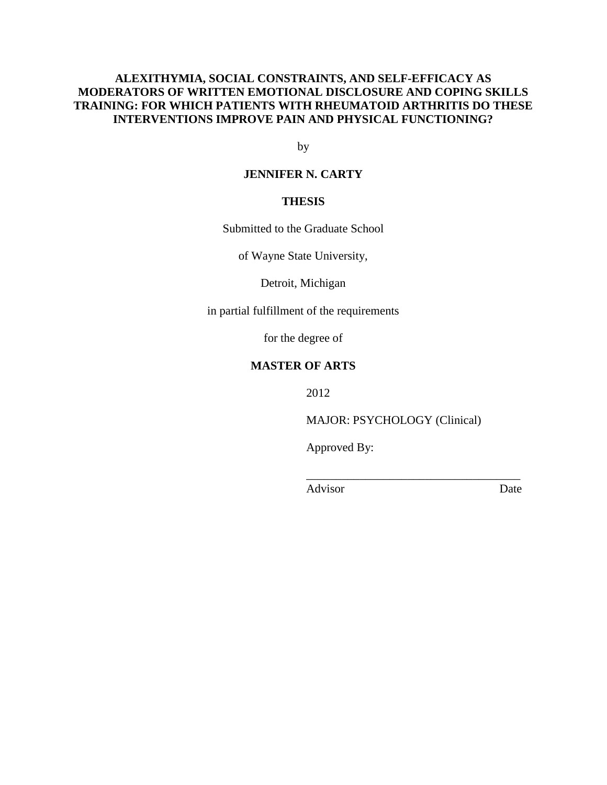# **ALEXITHYMIA, SOCIAL CONSTRAINTS, AND SELF-EFFICACY AS MODERATORS OF WRITTEN EMOTIONAL DISCLOSURE AND COPING SKILLS TRAINING: FOR WHICH PATIENTS WITH RHEUMATOID ARTHRITIS DO THESE INTERVENTIONS IMPROVE PAIN AND PHYSICAL FUNCTIONING?**

by

# **JENNIFER N. CARTY**

## **THESIS**

Submitted to the Graduate School

of Wayne State University,

Detroit, Michigan

in partial fulfillment of the requirements

for the degree of

## **MASTER OF ARTS**

2012

MAJOR: PSYCHOLOGY (Clinical)

 $\overline{\phantom{a}}$  ,  $\overline{\phantom{a}}$  ,  $\overline{\phantom{a}}$  ,  $\overline{\phantom{a}}$  ,  $\overline{\phantom{a}}$  ,  $\overline{\phantom{a}}$  ,  $\overline{\phantom{a}}$  ,  $\overline{\phantom{a}}$  ,  $\overline{\phantom{a}}$  ,  $\overline{\phantom{a}}$  ,  $\overline{\phantom{a}}$  ,  $\overline{\phantom{a}}$  ,  $\overline{\phantom{a}}$  ,  $\overline{\phantom{a}}$  ,  $\overline{\phantom{a}}$  ,  $\overline{\phantom{a}}$ 

Approved By:

Advisor Date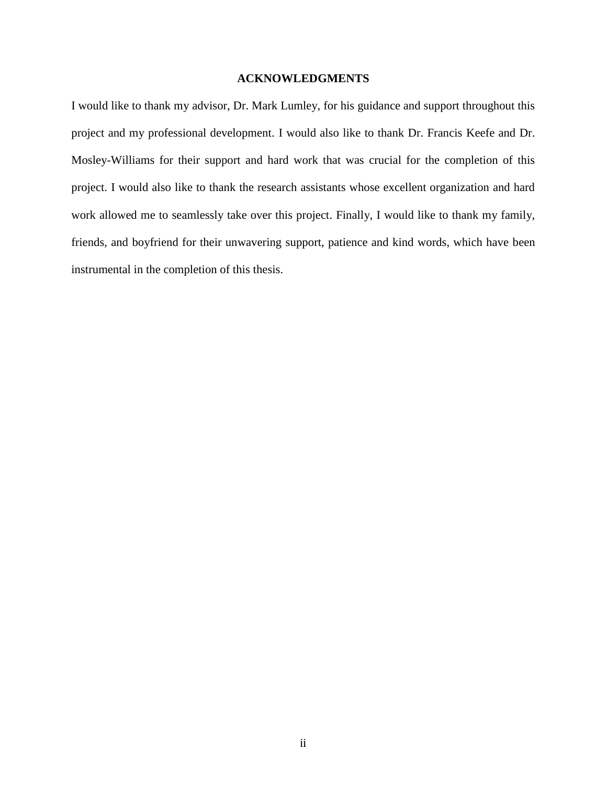## **ACKNOWLEDGMENTS**

I would like to thank my advisor, Dr. Mark Lumley, for his guidance and support throughout this project and my professional development. I would also like to thank Dr. Francis Keefe and Dr. Mosley-Williams for their support and hard work that was crucial for the completion of this project. I would also like to thank the research assistants whose excellent organization and hard work allowed me to seamlessly take over this project. Finally, I would like to thank my family, friends, and boyfriend for their unwavering support, patience and kind words, which have been instrumental in the completion of this thesis.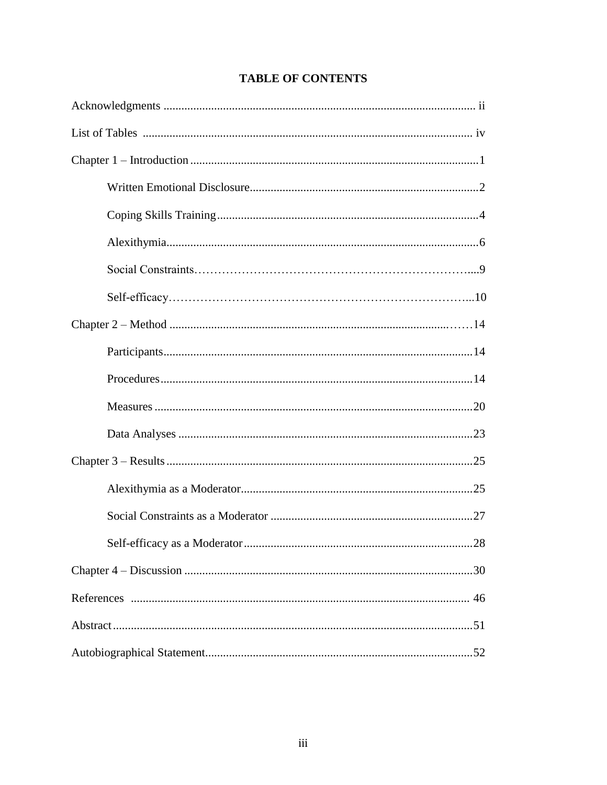# **TABLE OF CONTENTS**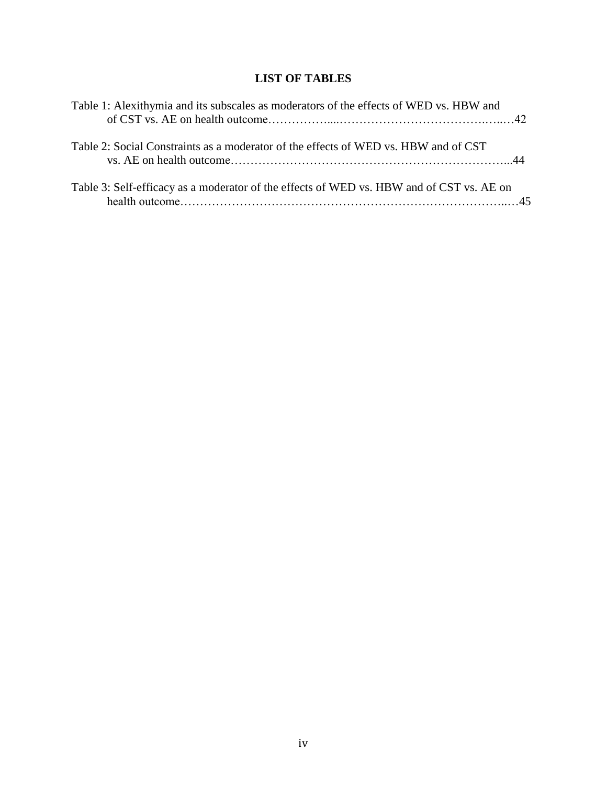# **LIST OF TABLES**

| Table 1: Alexithymia and its subscales as moderators of the effects of WED vs. HBW and   |  |
|------------------------------------------------------------------------------------------|--|
| Table 2: Social Constraints as a moderator of the effects of WED vs. HBW and of CST      |  |
| Table 3: Self-efficacy as a moderator of the effects of WED vs. HBW and of CST vs. AE on |  |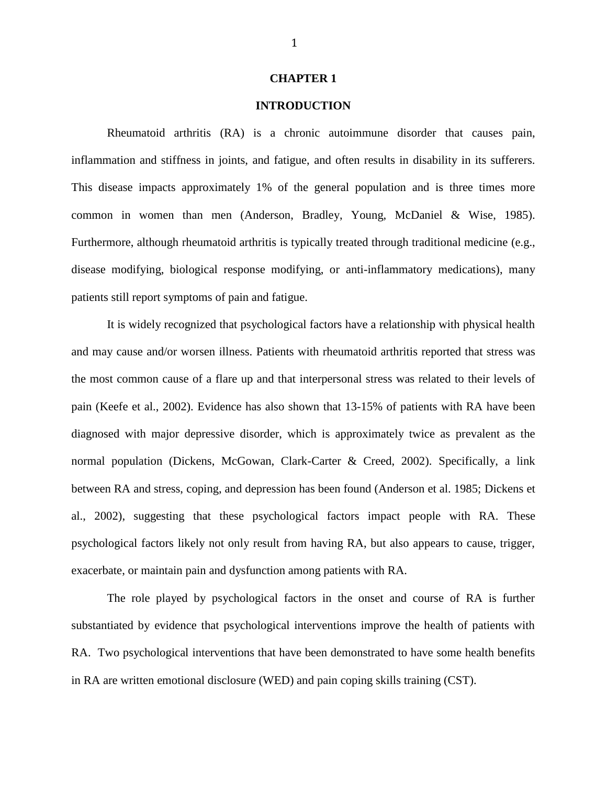#### **CHAPTER 1**

## **INTRODUCTION**

Rheumatoid arthritis (RA) is a chronic autoimmune disorder that causes pain, inflammation and stiffness in joints, and fatigue, and often results in disability in its sufferers. This disease impacts approximately 1% of the general population and is three times more common in women than men (Anderson, Bradley, Young, McDaniel & Wise, 1985). Furthermore, although rheumatoid arthritis is typically treated through traditional medicine (e.g., disease modifying, biological response modifying, or anti-inflammatory medications), many patients still report symptoms of pain and fatigue.

It is widely recognized that psychological factors have a relationship with physical health and may cause and/or worsen illness. Patients with rheumatoid arthritis reported that stress was the most common cause of a flare up and that interpersonal stress was related to their levels of pain (Keefe et al., 2002). Evidence has also shown that 13-15% of patients with RA have been diagnosed with major depressive disorder, which is approximately twice as prevalent as the normal population (Dickens, McGowan, Clark-Carter & Creed, 2002). Specifically, a link between RA and stress, coping, and depression has been found (Anderson et al. 1985; Dickens et al., 2002), suggesting that these psychological factors impact people with RA. These psychological factors likely not only result from having RA, but also appears to cause, trigger, exacerbate, or maintain pain and dysfunction among patients with RA.

The role played by psychological factors in the onset and course of RA is further substantiated by evidence that psychological interventions improve the health of patients with RA. Two psychological interventions that have been demonstrated to have some health benefits in RA are written emotional disclosure (WED) and pain coping skills training (CST).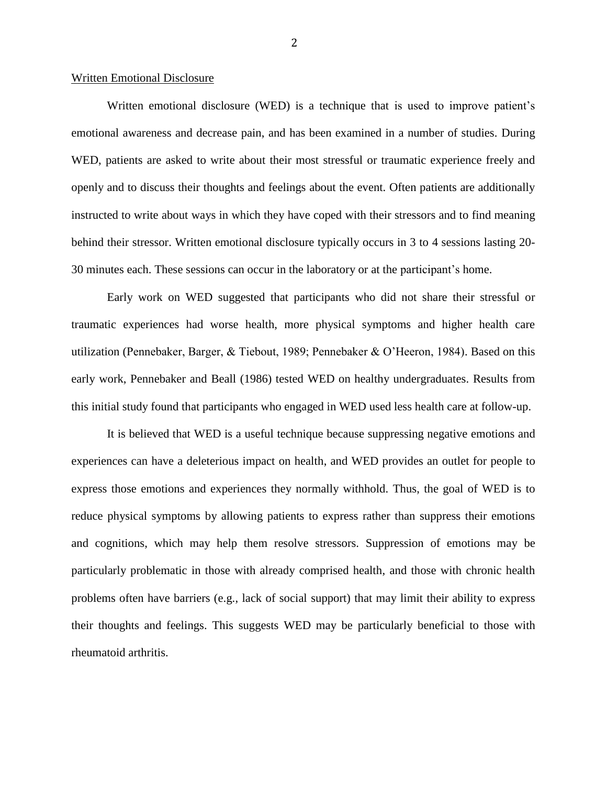#### Written Emotional Disclosure

Written emotional disclosure (WED) is a technique that is used to improve patient's emotional awareness and decrease pain, and has been examined in a number of studies. During WED, patients are asked to write about their most stressful or traumatic experience freely and openly and to discuss their thoughts and feelings about the event. Often patients are additionally instructed to write about ways in which they have coped with their stressors and to find meaning behind their stressor. Written emotional disclosure typically occurs in 3 to 4 sessions lasting 20- 30 minutes each. These sessions can occur in the laboratory or at the participant's home.

Early work on WED suggested that participants who did not share their stressful or traumatic experiences had worse health, more physical symptoms and higher health care utilization (Pennebaker, Barger, & Tiebout, 1989; Pennebaker & O'Heeron, 1984). Based on this early work, Pennebaker and Beall (1986) tested WED on healthy undergraduates. Results from this initial study found that participants who engaged in WED used less health care at follow-up.

It is believed that WED is a useful technique because suppressing negative emotions and experiences can have a deleterious impact on health, and WED provides an outlet for people to express those emotions and experiences they normally withhold. Thus, the goal of WED is to reduce physical symptoms by allowing patients to express rather than suppress their emotions and cognitions, which may help them resolve stressors. Suppression of emotions may be particularly problematic in those with already comprised health, and those with chronic health problems often have barriers (e.g., lack of social support) that may limit their ability to express their thoughts and feelings. This suggests WED may be particularly beneficial to those with rheumatoid arthritis.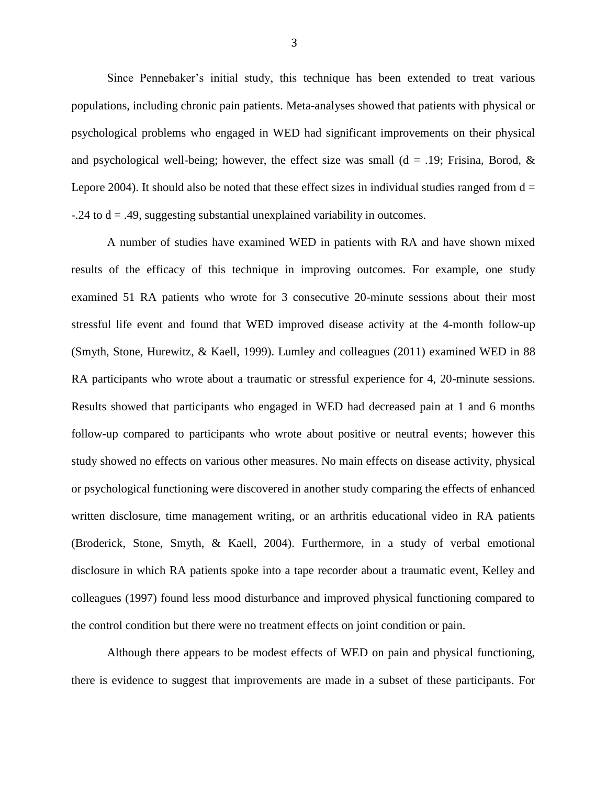Since Pennebaker's initial study, this technique has been extended to treat various populations, including chronic pain patients. Meta-analyses showed that patients with physical or psychological problems who engaged in WED had significant improvements on their physical and psychological well-being; however, the effect size was small (d = .19; Frisina, Borod,  $\&$ Lepore 2004). It should also be noted that these effect sizes in individual studies ranged from  $d =$  $-0.24$  to  $d = 0.49$ , suggesting substantial unexplained variability in outcomes.

A number of studies have examined WED in patients with RA and have shown mixed results of the efficacy of this technique in improving outcomes. For example, one study examined 51 RA patients who wrote for 3 consecutive 20-minute sessions about their most stressful life event and found that WED improved disease activity at the 4-month follow-up (Smyth, Stone, Hurewitz, & Kaell, 1999). Lumley and colleagues (2011) examined WED in 88 RA participants who wrote about a traumatic or stressful experience for 4, 20-minute sessions. Results showed that participants who engaged in WED had decreased pain at 1 and 6 months follow-up compared to participants who wrote about positive or neutral events; however this study showed no effects on various other measures. No main effects on disease activity, physical or psychological functioning were discovered in another study comparing the effects of enhanced written disclosure, time management writing, or an arthritis educational video in RA patients (Broderick, Stone, Smyth, & Kaell, 2004). Furthermore, in a study of verbal emotional disclosure in which RA patients spoke into a tape recorder about a traumatic event, Kelley and colleagues (1997) found less mood disturbance and improved physical functioning compared to the control condition but there were no treatment effects on joint condition or pain.

Although there appears to be modest effects of WED on pain and physical functioning, there is evidence to suggest that improvements are made in a subset of these participants. For

3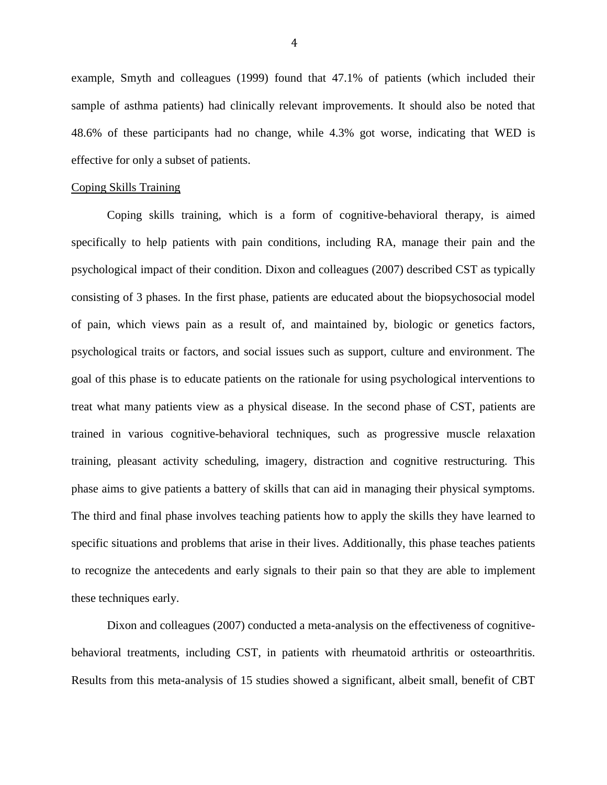example, Smyth and colleagues (1999) found that 47.1% of patients (which included their sample of asthma patients) had clinically relevant improvements. It should also be noted that 48.6% of these participants had no change, while 4.3% got worse, indicating that WED is effective for only a subset of patients.

## Coping Skills Training

Coping skills training, which is a form of cognitive-behavioral therapy, is aimed specifically to help patients with pain conditions, including RA, manage their pain and the psychological impact of their condition. Dixon and colleagues (2007) described CST as typically consisting of 3 phases. In the first phase, patients are educated about the biopsychosocial model of pain, which views pain as a result of, and maintained by, biologic or genetics factors, psychological traits or factors, and social issues such as support, culture and environment. The goal of this phase is to educate patients on the rationale for using psychological interventions to treat what many patients view as a physical disease. In the second phase of CST, patients are trained in various cognitive-behavioral techniques, such as progressive muscle relaxation training, pleasant activity scheduling, imagery, distraction and cognitive restructuring. This phase aims to give patients a battery of skills that can aid in managing their physical symptoms. The third and final phase involves teaching patients how to apply the skills they have learned to specific situations and problems that arise in their lives. Additionally, this phase teaches patients to recognize the antecedents and early signals to their pain so that they are able to implement these techniques early.

Dixon and colleagues (2007) conducted a meta-analysis on the effectiveness of cognitivebehavioral treatments, including CST, in patients with rheumatoid arthritis or osteoarthritis. Results from this meta-analysis of 15 studies showed a significant, albeit small, benefit of CBT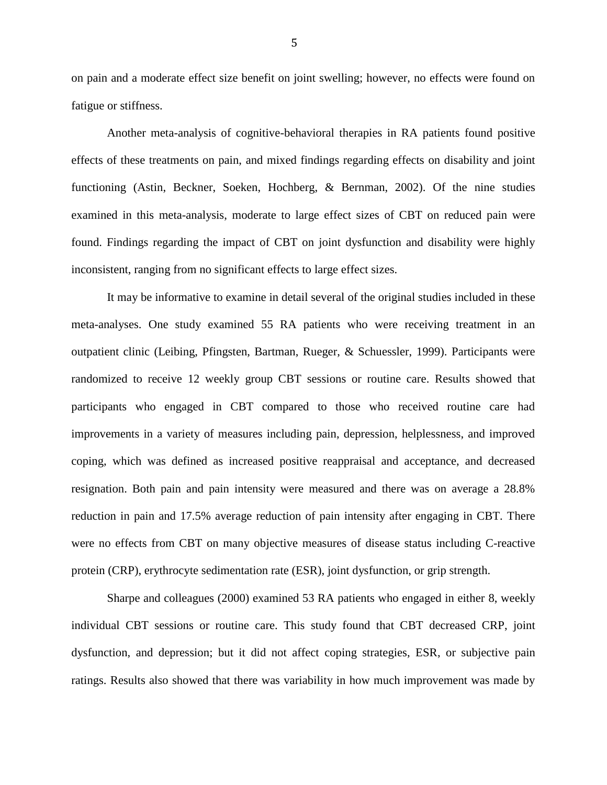on pain and a moderate effect size benefit on joint swelling; however, no effects were found on fatigue or stiffness.

Another meta-analysis of cognitive-behavioral therapies in RA patients found positive effects of these treatments on pain, and mixed findings regarding effects on disability and joint functioning (Astin, Beckner, Soeken, Hochberg, & Bernman, 2002). Of the nine studies examined in this meta-analysis, moderate to large effect sizes of CBT on reduced pain were found. Findings regarding the impact of CBT on joint dysfunction and disability were highly inconsistent, ranging from no significant effects to large effect sizes.

It may be informative to examine in detail several of the original studies included in these meta-analyses. One study examined 55 RA patients who were receiving treatment in an outpatient clinic (Leibing, Pfingsten, Bartman, Rueger, & Schuessler, 1999). Participants were randomized to receive 12 weekly group CBT sessions or routine care. Results showed that participants who engaged in CBT compared to those who received routine care had improvements in a variety of measures including pain, depression, helplessness, and improved coping, which was defined as increased positive reappraisal and acceptance, and decreased resignation. Both pain and pain intensity were measured and there was on average a 28.8% reduction in pain and 17.5% average reduction of pain intensity after engaging in CBT. There were no effects from CBT on many objective measures of disease status including C-reactive protein (CRP), erythrocyte sedimentation rate (ESR), joint dysfunction, or grip strength.

Sharpe and colleagues (2000) examined 53 RA patients who engaged in either 8, weekly individual CBT sessions or routine care. This study found that CBT decreased CRP, joint dysfunction, and depression; but it did not affect coping strategies, ESR, or subjective pain ratings. Results also showed that there was variability in how much improvement was made by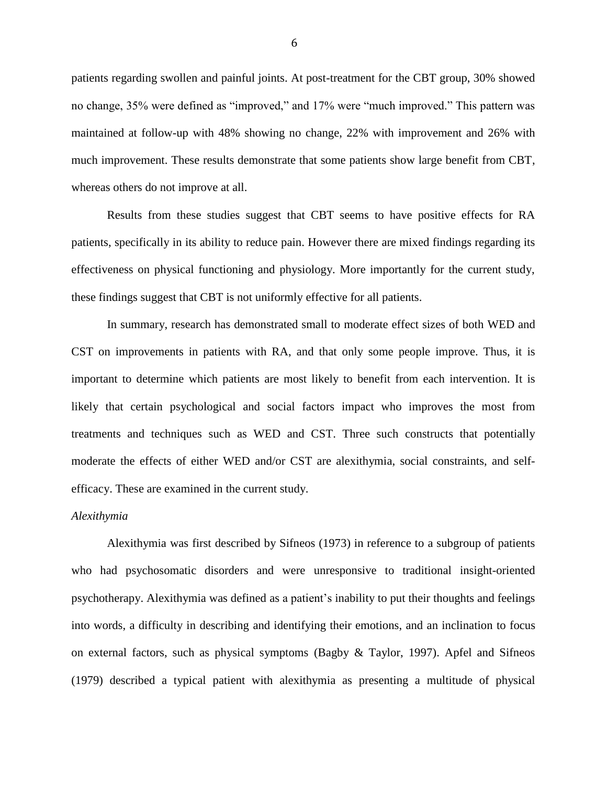patients regarding swollen and painful joints. At post-treatment for the CBT group, 30% showed no change, 35% were defined as "improved," and 17% were "much improved." This pattern was maintained at follow-up with 48% showing no change, 22% with improvement and 26% with much improvement. These results demonstrate that some patients show large benefit from CBT, whereas others do not improve at all.

Results from these studies suggest that CBT seems to have positive effects for RA patients, specifically in its ability to reduce pain. However there are mixed findings regarding its effectiveness on physical functioning and physiology. More importantly for the current study, these findings suggest that CBT is not uniformly effective for all patients.

In summary, research has demonstrated small to moderate effect sizes of both WED and CST on improvements in patients with RA, and that only some people improve. Thus, it is important to determine which patients are most likely to benefit from each intervention. It is likely that certain psychological and social factors impact who improves the most from treatments and techniques such as WED and CST. Three such constructs that potentially moderate the effects of either WED and/or CST are alexithymia, social constraints, and selfefficacy. These are examined in the current study.

#### *Alexithymia*

Alexithymia was first described by Sifneos (1973) in reference to a subgroup of patients who had psychosomatic disorders and were unresponsive to traditional insight-oriented psychotherapy. Alexithymia was defined as a patient's inability to put their thoughts and feelings into words, a difficulty in describing and identifying their emotions, and an inclination to focus on external factors, such as physical symptoms (Bagby & Taylor, 1997). Apfel and Sifneos (1979) described a typical patient with alexithymia as presenting a multitude of physical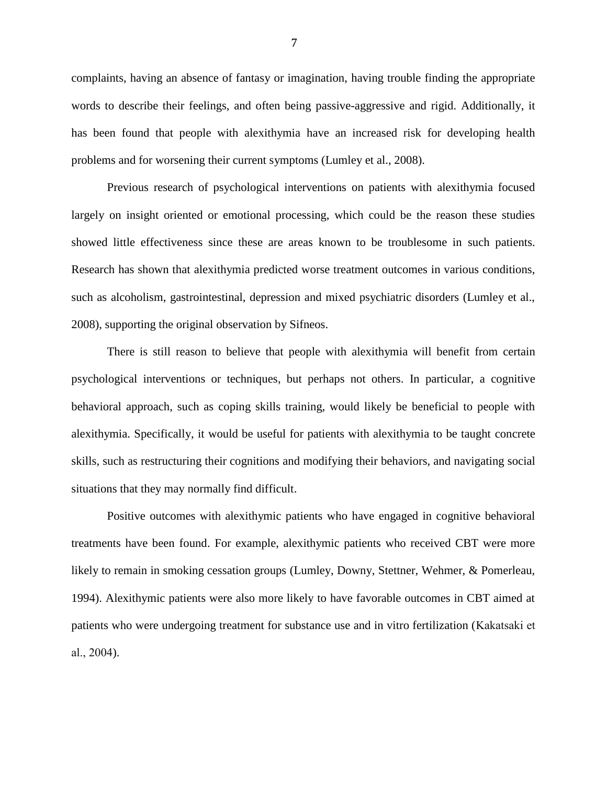complaints, having an absence of fantasy or imagination, having trouble finding the appropriate words to describe their feelings, and often being passive-aggressive and rigid. Additionally, it has been found that people with alexithymia have an increased risk for developing health problems and for worsening their current symptoms (Lumley et al., 2008).

Previous research of psychological interventions on patients with alexithymia focused largely on insight oriented or emotional processing, which could be the reason these studies showed little effectiveness since these are areas known to be troublesome in such patients. Research has shown that alexithymia predicted worse treatment outcomes in various conditions, such as alcoholism, gastrointestinal, depression and mixed psychiatric disorders (Lumley et al., 2008), supporting the original observation by Sifneos.

There is still reason to believe that people with alexithymia will benefit from certain psychological interventions or techniques, but perhaps not others. In particular, a cognitive behavioral approach, such as coping skills training, would likely be beneficial to people with alexithymia. Specifically, it would be useful for patients with alexithymia to be taught concrete skills, such as restructuring their cognitions and modifying their behaviors, and navigating social situations that they may normally find difficult.

Positive outcomes with alexithymic patients who have engaged in cognitive behavioral treatments have been found. For example, alexithymic patients who received CBT were more likely to remain in smoking cessation groups (Lumley, Downy, Stettner, Wehmer, & Pomerleau, 1994). Alexithymic patients were also more likely to have favorable outcomes in CBT aimed at patients who were undergoing treatment for substance use and in vitro fertilization (Kakatsaki et al., 2004).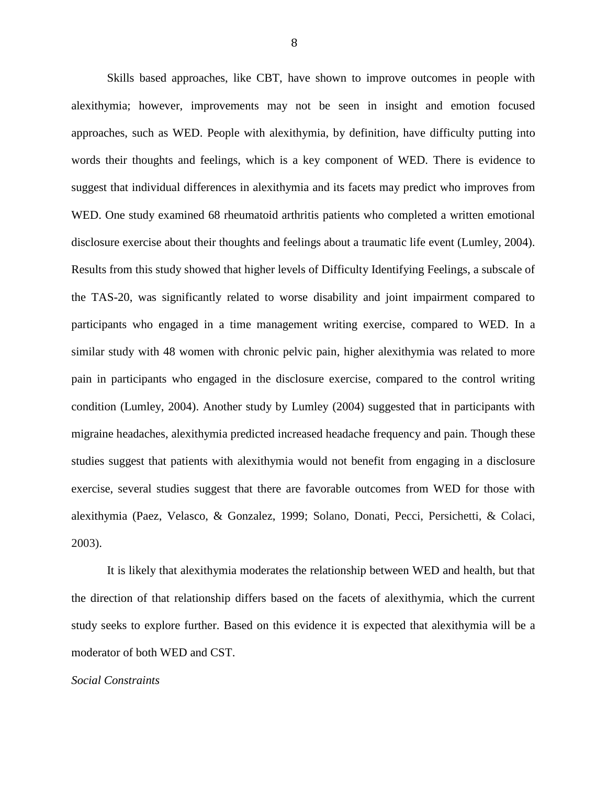Skills based approaches, like CBT, have shown to improve outcomes in people with alexithymia; however, improvements may not be seen in insight and emotion focused approaches, such as WED. People with alexithymia, by definition, have difficulty putting into words their thoughts and feelings, which is a key component of WED. There is evidence to suggest that individual differences in alexithymia and its facets may predict who improves from WED. One study examined 68 rheumatoid arthritis patients who completed a written emotional disclosure exercise about their thoughts and feelings about a traumatic life event (Lumley, 2004). Results from this study showed that higher levels of Difficulty Identifying Feelings, a subscale of the TAS-20, was significantly related to worse disability and joint impairment compared to participants who engaged in a time management writing exercise, compared to WED. In a similar study with 48 women with chronic pelvic pain, higher alexithymia was related to more pain in participants who engaged in the disclosure exercise, compared to the control writing condition (Lumley, 2004). Another study by Lumley (2004) suggested that in participants with migraine headaches, alexithymia predicted increased headache frequency and pain. Though these studies suggest that patients with alexithymia would not benefit from engaging in a disclosure exercise, several studies suggest that there are favorable outcomes from WED for those with alexithymia (Paez, Velasco, & Gonzalez, 1999; Solano, Donati, Pecci, Persichetti, & Colaci, 2003).

It is likely that alexithymia moderates the relationship between WED and health, but that the direction of that relationship differs based on the facets of alexithymia, which the current study seeks to explore further. Based on this evidence it is expected that alexithymia will be a moderator of both WED and CST.

#### *Social Constraints*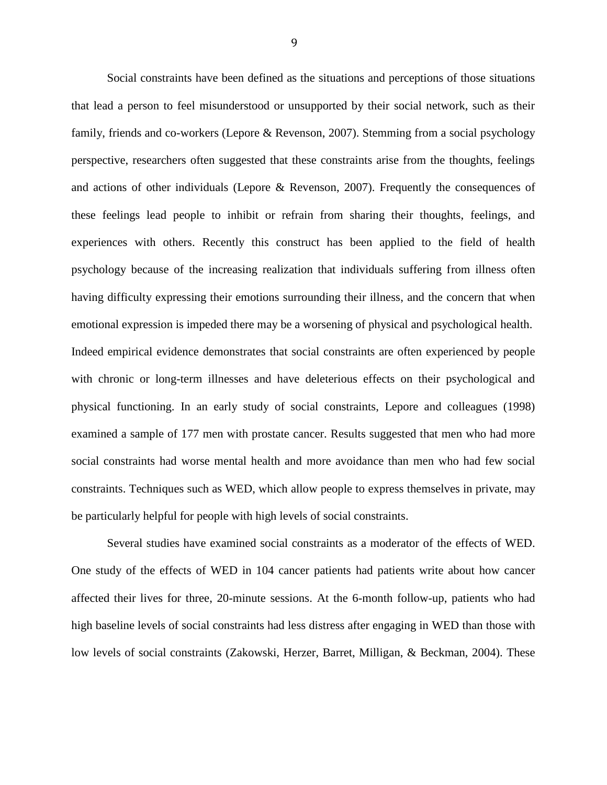Social constraints have been defined as the situations and perceptions of those situations that lead a person to feel misunderstood or unsupported by their social network, such as their family, friends and co-workers (Lepore & Revenson, 2007). Stemming from a social psychology perspective, researchers often suggested that these constraints arise from the thoughts, feelings and actions of other individuals (Lepore & Revenson, 2007). Frequently the consequences of these feelings lead people to inhibit or refrain from sharing their thoughts, feelings, and experiences with others. Recently this construct has been applied to the field of health psychology because of the increasing realization that individuals suffering from illness often having difficulty expressing their emotions surrounding their illness, and the concern that when emotional expression is impeded there may be a worsening of physical and psychological health. Indeed empirical evidence demonstrates that social constraints are often experienced by people with chronic or long-term illnesses and have deleterious effects on their psychological and physical functioning. In an early study of social constraints, Lepore and colleagues (1998) examined a sample of 177 men with prostate cancer. Results suggested that men who had more social constraints had worse mental health and more avoidance than men who had few social constraints. Techniques such as WED, which allow people to express themselves in private, may be particularly helpful for people with high levels of social constraints.

Several studies have examined social constraints as a moderator of the effects of WED. One study of the effects of WED in 104 cancer patients had patients write about how cancer affected their lives for three, 20-minute sessions. At the 6-month follow-up, patients who had high baseline levels of social constraints had less distress after engaging in WED than those with low levels of social constraints (Zakowski, Herzer, Barret, Milligan, & Beckman, 2004). These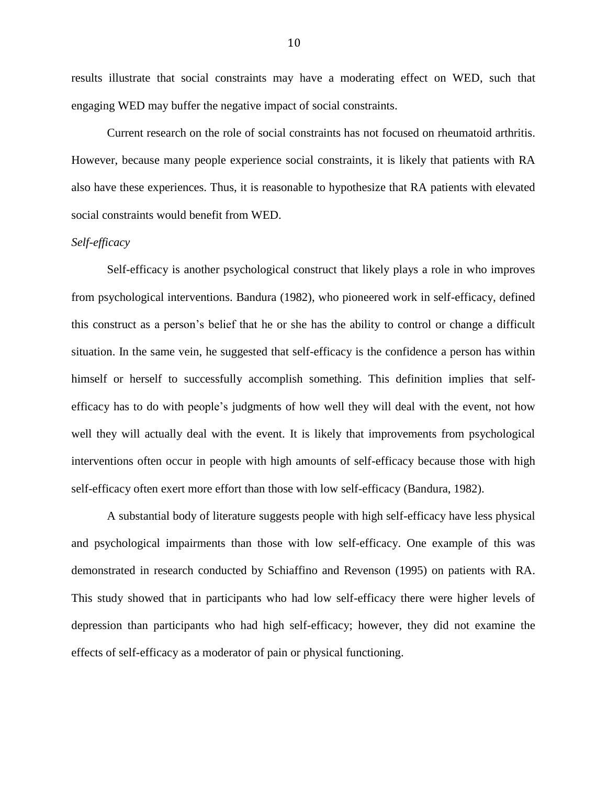results illustrate that social constraints may have a moderating effect on WED, such that engaging WED may buffer the negative impact of social constraints.

Current research on the role of social constraints has not focused on rheumatoid arthritis. However, because many people experience social constraints, it is likely that patients with RA also have these experiences. Thus, it is reasonable to hypothesize that RA patients with elevated social constraints would benefit from WED.

## *Self-efficacy*

Self-efficacy is another psychological construct that likely plays a role in who improves from psychological interventions. Bandura (1982), who pioneered work in self-efficacy, defined this construct as a person's belief that he or she has the ability to control or change a difficult situation. In the same vein, he suggested that self-efficacy is the confidence a person has within himself or herself to successfully accomplish something. This definition implies that selfefficacy has to do with people's judgments of how well they will deal with the event, not how well they will actually deal with the event. It is likely that improvements from psychological interventions often occur in people with high amounts of self-efficacy because those with high self-efficacy often exert more effort than those with low self-efficacy (Bandura, 1982).

A substantial body of literature suggests people with high self-efficacy have less physical and psychological impairments than those with low self-efficacy. One example of this was demonstrated in research conducted by Schiaffino and Revenson (1995) on patients with RA. This study showed that in participants who had low self-efficacy there were higher levels of depression than participants who had high self-efficacy; however, they did not examine the effects of self-efficacy as a moderator of pain or physical functioning.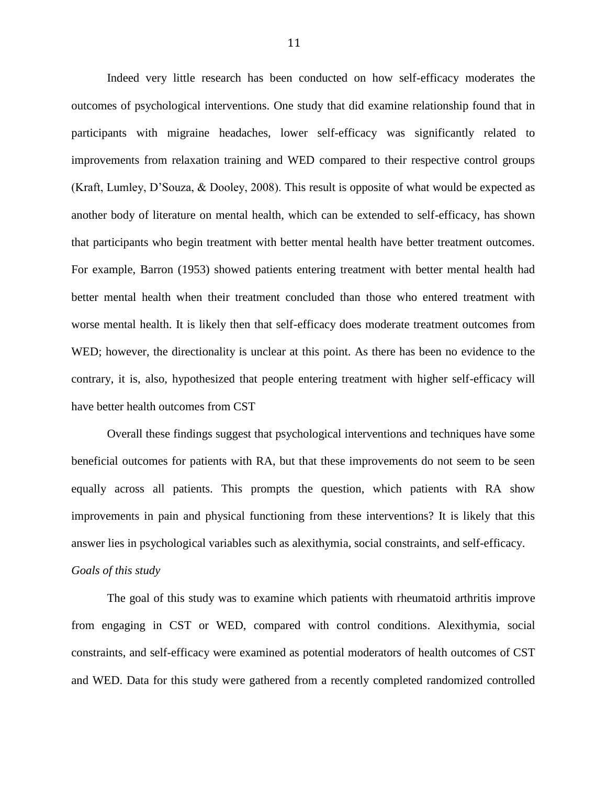Indeed very little research has been conducted on how self-efficacy moderates the outcomes of psychological interventions. One study that did examine relationship found that in participants with migraine headaches, lower self-efficacy was significantly related to improvements from relaxation training and WED compared to their respective control groups (Kraft, Lumley, D'Souza, & Dooley, 2008). This result is opposite of what would be expected as another body of literature on mental health, which can be extended to self-efficacy, has shown that participants who begin treatment with better mental health have better treatment outcomes. For example, Barron (1953) showed patients entering treatment with better mental health had better mental health when their treatment concluded than those who entered treatment with worse mental health. It is likely then that self-efficacy does moderate treatment outcomes from WED; however, the directionality is unclear at this point. As there has been no evidence to the contrary, it is, also, hypothesized that people entering treatment with higher self-efficacy will have better health outcomes from CST

Overall these findings suggest that psychological interventions and techniques have some beneficial outcomes for patients with RA, but that these improvements do not seem to be seen equally across all patients. This prompts the question, which patients with RA show improvements in pain and physical functioning from these interventions? It is likely that this answer lies in psychological variables such as alexithymia, social constraints, and self-efficacy. *Goals of this study*

The goal of this study was to examine which patients with rheumatoid arthritis improve from engaging in CST or WED, compared with control conditions. Alexithymia, social constraints, and self-efficacy were examined as potential moderators of health outcomes of CST and WED. Data for this study were gathered from a recently completed randomized controlled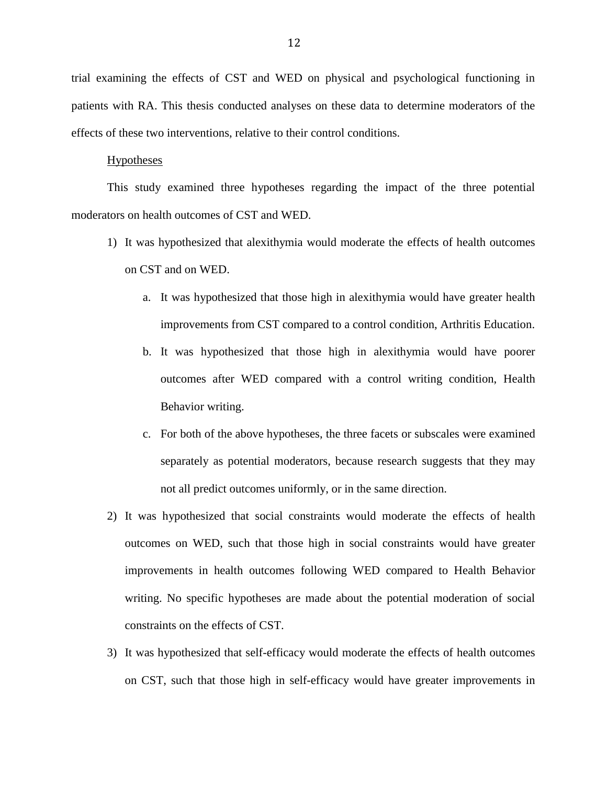trial examining the effects of CST and WED on physical and psychological functioning in patients with RA. This thesis conducted analyses on these data to determine moderators of the effects of these two interventions, relative to their control conditions.

#### **Hypotheses**

This study examined three hypotheses regarding the impact of the three potential moderators on health outcomes of CST and WED.

- 1) It was hypothesized that alexithymia would moderate the effects of health outcomes on CST and on WED.
	- a. It was hypothesized that those high in alexithymia would have greater health improvements from CST compared to a control condition, Arthritis Education.
	- b. It was hypothesized that those high in alexithymia would have poorer outcomes after WED compared with a control writing condition, Health Behavior writing.
	- c. For both of the above hypotheses, the three facets or subscales were examined separately as potential moderators, because research suggests that they may not all predict outcomes uniformly, or in the same direction.
- 2) It was hypothesized that social constraints would moderate the effects of health outcomes on WED, such that those high in social constraints would have greater improvements in health outcomes following WED compared to Health Behavior writing. No specific hypotheses are made about the potential moderation of social constraints on the effects of CST.
- 3) It was hypothesized that self-efficacy would moderate the effects of health outcomes on CST, such that those high in self-efficacy would have greater improvements in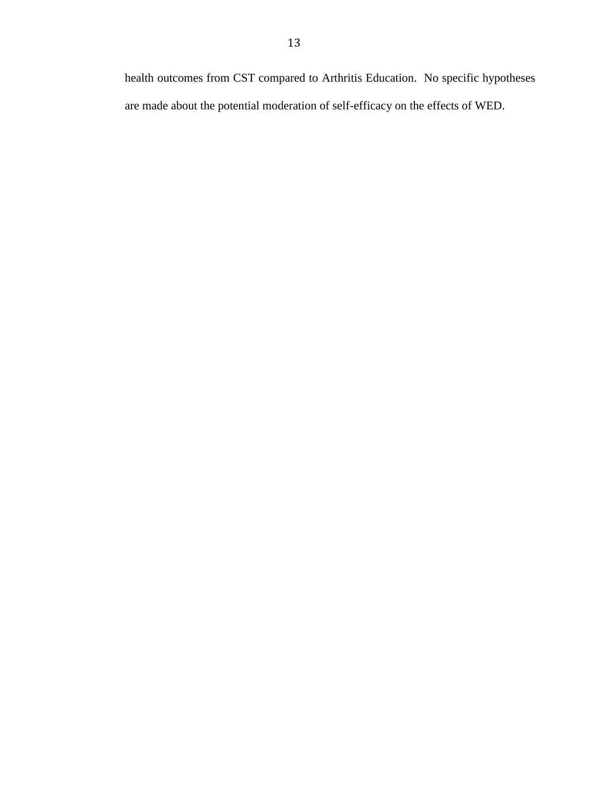health outcomes from CST compared to Arthritis Education. No specific hypotheses are made about the potential moderation of self-efficacy on the effects of WED.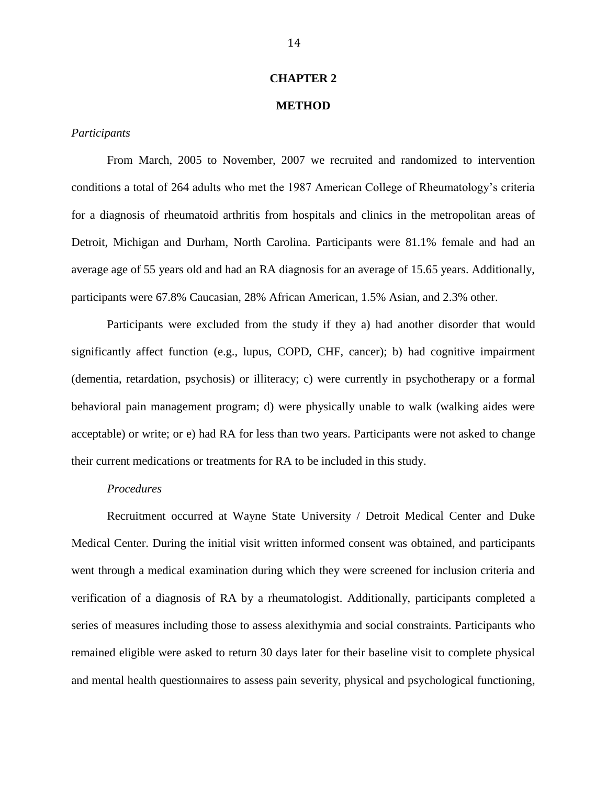#### **CHAPTER 2**

## **METHOD**

## *Participants*

From March, 2005 to November, 2007 we recruited and randomized to intervention conditions a total of 264 adults who met the 1987 American College of Rheumatology's criteria for a diagnosis of rheumatoid arthritis from hospitals and clinics in the metropolitan areas of Detroit, Michigan and Durham, North Carolina. Participants were 81.1% female and had an average age of 55 years old and had an RA diagnosis for an average of 15.65 years. Additionally, participants were 67.8% Caucasian, 28% African American, 1.5% Asian, and 2.3% other.

Participants were excluded from the study if they a) had another disorder that would significantly affect function (e.g., lupus, COPD, CHF, cancer); b) had cognitive impairment (dementia, retardation, psychosis) or illiteracy; c) were currently in psychotherapy or a formal behavioral pain management program; d) were physically unable to walk (walking aides were acceptable) or write; or e) had RA for less than two years. Participants were not asked to change their current medications or treatments for RA to be included in this study.

#### *Procedures*

Recruitment occurred at Wayne State University / Detroit Medical Center and Duke Medical Center. During the initial visit written informed consent was obtained, and participants went through a medical examination during which they were screened for inclusion criteria and verification of a diagnosis of RA by a rheumatologist. Additionally, participants completed a series of measures including those to assess alexithymia and social constraints. Participants who remained eligible were asked to return 30 days later for their baseline visit to complete physical and mental health questionnaires to assess pain severity, physical and psychological functioning,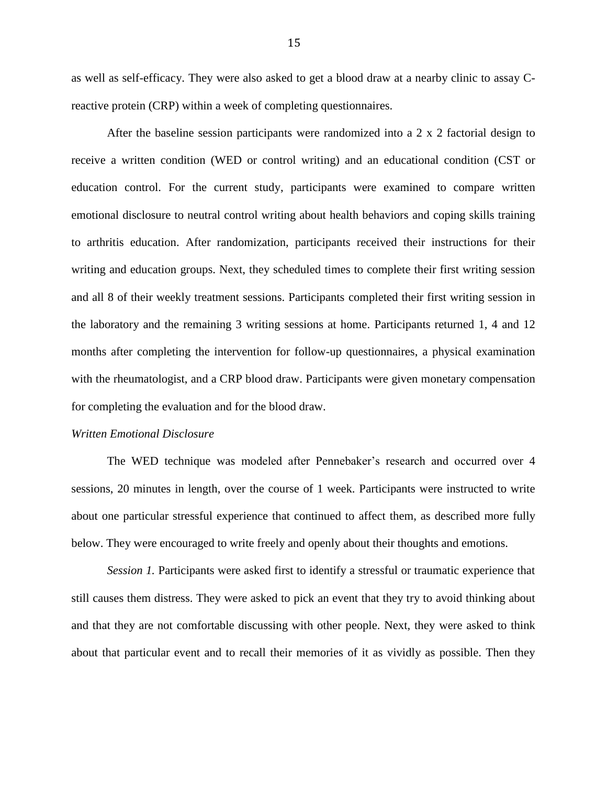as well as self-efficacy. They were also asked to get a blood draw at a nearby clinic to assay Creactive protein (CRP) within a week of completing questionnaires.

After the baseline session participants were randomized into a 2 x 2 factorial design to receive a written condition (WED or control writing) and an educational condition (CST or education control. For the current study, participants were examined to compare written emotional disclosure to neutral control writing about health behaviors and coping skills training to arthritis education. After randomization, participants received their instructions for their writing and education groups. Next, they scheduled times to complete their first writing session and all 8 of their weekly treatment sessions. Participants completed their first writing session in the laboratory and the remaining 3 writing sessions at home. Participants returned 1, 4 and 12 months after completing the intervention for follow-up questionnaires, a physical examination with the rheumatologist, and a CRP blood draw. Participants were given monetary compensation for completing the evaluation and for the blood draw.

#### *Written Emotional Disclosure*

The WED technique was modeled after Pennebaker's research and occurred over 4 sessions, 20 minutes in length, over the course of 1 week. Participants were instructed to write about one particular stressful experience that continued to affect them, as described more fully below. They were encouraged to write freely and openly about their thoughts and emotions.

*Session 1.* Participants were asked first to identify a stressful or traumatic experience that still causes them distress. They were asked to pick an event that they try to avoid thinking about and that they are not comfortable discussing with other people. Next, they were asked to think about that particular event and to recall their memories of it as vividly as possible. Then they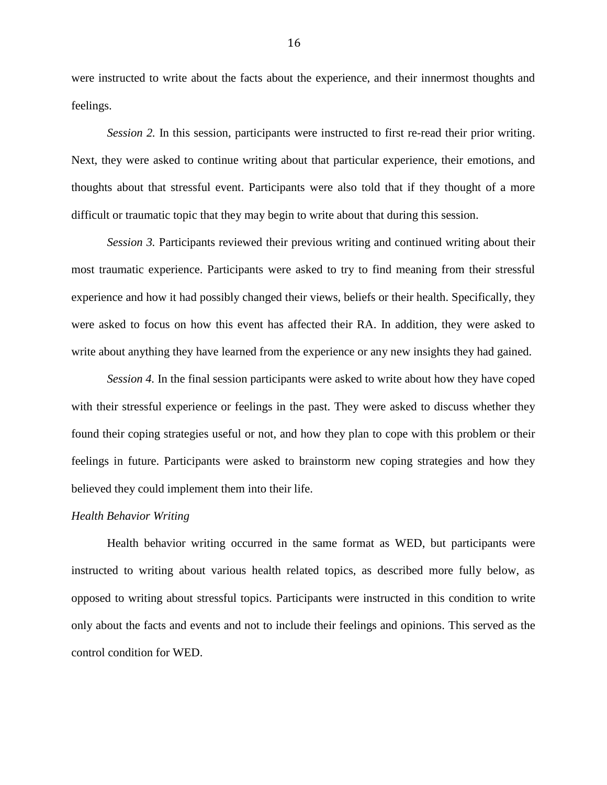were instructed to write about the facts about the experience, and their innermost thoughts and feelings.

*Session 2.* In this session, participants were instructed to first re-read their prior writing. Next, they were asked to continue writing about that particular experience, their emotions, and thoughts about that stressful event. Participants were also told that if they thought of a more difficult or traumatic topic that they may begin to write about that during this session.

*Session 3.* Participants reviewed their previous writing and continued writing about their most traumatic experience. Participants were asked to try to find meaning from their stressful experience and how it had possibly changed their views, beliefs or their health. Specifically, they were asked to focus on how this event has affected their RA. In addition, they were asked to write about anything they have learned from the experience or any new insights they had gained.

*Session 4.* In the final session participants were asked to write about how they have coped with their stressful experience or feelings in the past. They were asked to discuss whether they found their coping strategies useful or not, and how they plan to cope with this problem or their feelings in future. Participants were asked to brainstorm new coping strategies and how they believed they could implement them into their life.

#### *Health Behavior Writing*

Health behavior writing occurred in the same format as WED, but participants were instructed to writing about various health related topics, as described more fully below, as opposed to writing about stressful topics. Participants were instructed in this condition to write only about the facts and events and not to include their feelings and opinions. This served as the control condition for WED.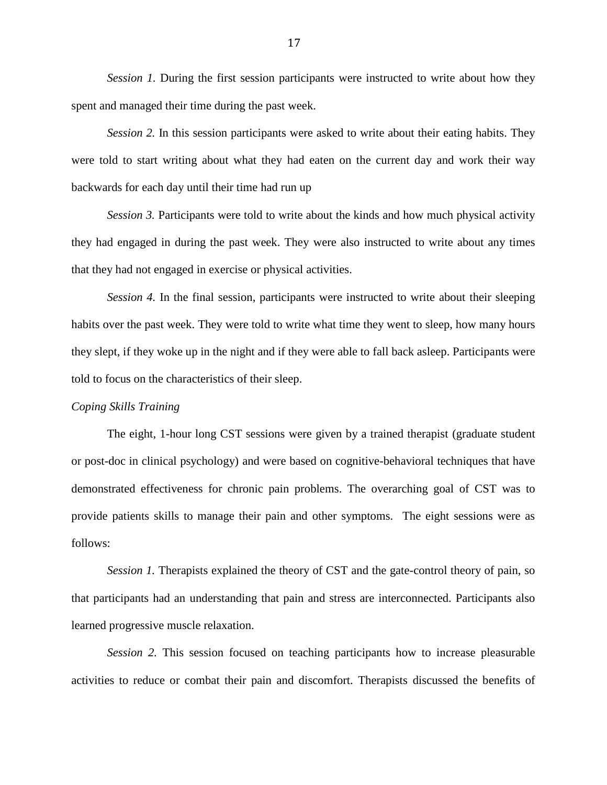*Session 1.* During the first session participants were instructed to write about how they spent and managed their time during the past week.

*Session 2.* In this session participants were asked to write about their eating habits. They were told to start writing about what they had eaten on the current day and work their way backwards for each day until their time had run up

*Session 3.* Participants were told to write about the kinds and how much physical activity they had engaged in during the past week. They were also instructed to write about any times that they had not engaged in exercise or physical activities.

*Session 4.* In the final session, participants were instructed to write about their sleeping habits over the past week. They were told to write what time they went to sleep, how many hours they slept, if they woke up in the night and if they were able to fall back asleep. Participants were told to focus on the characteristics of their sleep.

### *Coping Skills Training*

The eight, 1-hour long CST sessions were given by a trained therapist (graduate student or post-doc in clinical psychology) and were based on cognitive-behavioral techniques that have demonstrated effectiveness for chronic pain problems. The overarching goal of CST was to provide patients skills to manage their pain and other symptoms. The eight sessions were as follows:

*Session 1.* Therapists explained the theory of CST and the gate-control theory of pain, so that participants had an understanding that pain and stress are interconnected. Participants also learned progressive muscle relaxation.

*Session 2.* This session focused on teaching participants how to increase pleasurable activities to reduce or combat their pain and discomfort. Therapists discussed the benefits of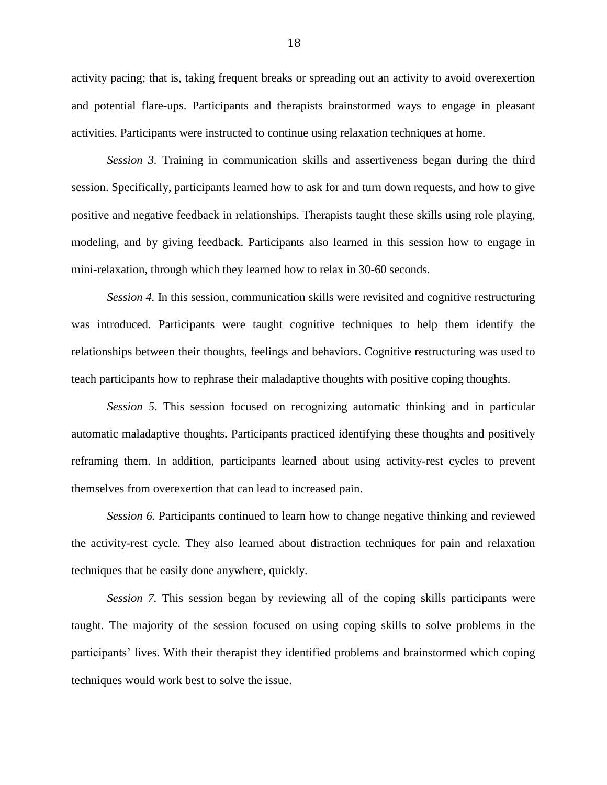activity pacing; that is, taking frequent breaks or spreading out an activity to avoid overexertion and potential flare-ups. Participants and therapists brainstormed ways to engage in pleasant activities. Participants were instructed to continue using relaxation techniques at home.

*Session 3.* Training in communication skills and assertiveness began during the third session. Specifically, participants learned how to ask for and turn down requests, and how to give positive and negative feedback in relationships. Therapists taught these skills using role playing, modeling, and by giving feedback. Participants also learned in this session how to engage in mini-relaxation, through which they learned how to relax in 30-60 seconds.

*Session 4.* In this session, communication skills were revisited and cognitive restructuring was introduced. Participants were taught cognitive techniques to help them identify the relationships between their thoughts, feelings and behaviors. Cognitive restructuring was used to teach participants how to rephrase their maladaptive thoughts with positive coping thoughts.

*Session 5.* This session focused on recognizing automatic thinking and in particular automatic maladaptive thoughts. Participants practiced identifying these thoughts and positively reframing them. In addition, participants learned about using activity-rest cycles to prevent themselves from overexertion that can lead to increased pain.

*Session 6.* Participants continued to learn how to change negative thinking and reviewed the activity-rest cycle. They also learned about distraction techniques for pain and relaxation techniques that be easily done anywhere, quickly.

*Session 7.* This session began by reviewing all of the coping skills participants were taught. The majority of the session focused on using coping skills to solve problems in the participants' lives. With their therapist they identified problems and brainstormed which coping techniques would work best to solve the issue.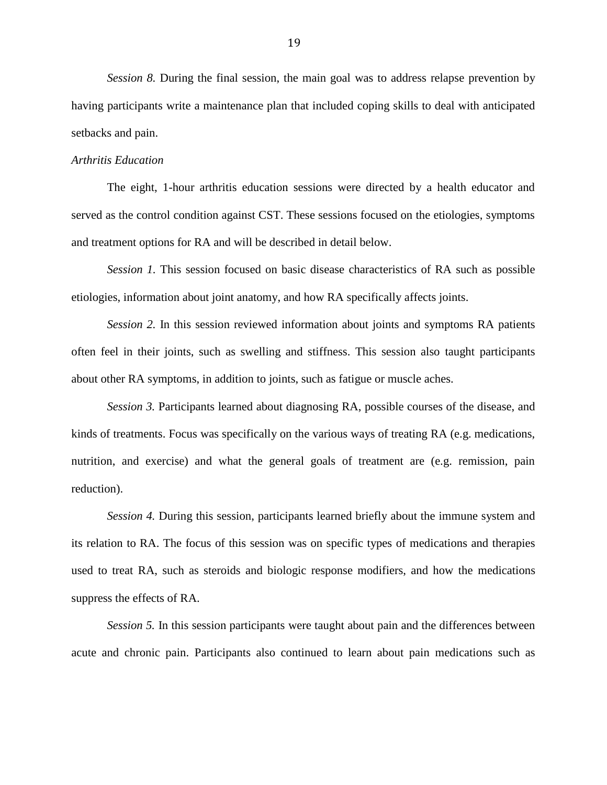*Session 8.* During the final session, the main goal was to address relapse prevention by having participants write a maintenance plan that included coping skills to deal with anticipated setbacks and pain.

## *Arthritis Education*

The eight, 1-hour arthritis education sessions were directed by a health educator and served as the control condition against CST. These sessions focused on the etiologies, symptoms and treatment options for RA and will be described in detail below.

*Session 1.* This session focused on basic disease characteristics of RA such as possible etiologies, information about joint anatomy, and how RA specifically affects joints.

*Session 2.* In this session reviewed information about joints and symptoms RA patients often feel in their joints, such as swelling and stiffness. This session also taught participants about other RA symptoms, in addition to joints, such as fatigue or muscle aches.

*Session 3.* Participants learned about diagnosing RA, possible courses of the disease, and kinds of treatments. Focus was specifically on the various ways of treating RA (e.g. medications, nutrition, and exercise) and what the general goals of treatment are (e.g. remission, pain reduction).

*Session 4.* During this session, participants learned briefly about the immune system and its relation to RA. The focus of this session was on specific types of medications and therapies used to treat RA, such as steroids and biologic response modifiers, and how the medications suppress the effects of RA.

*Session 5.* In this session participants were taught about pain and the differences between acute and chronic pain. Participants also continued to learn about pain medications such as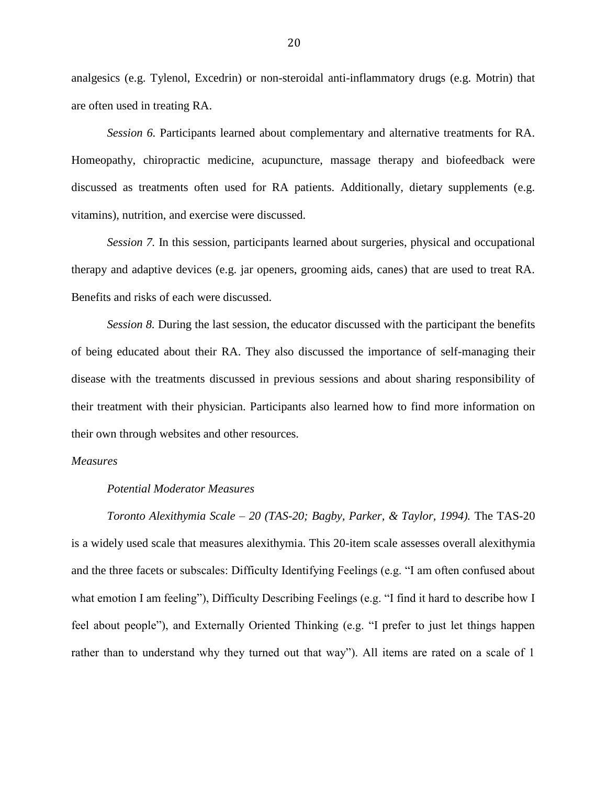analgesics (e.g. Tylenol, Excedrin) or non-steroidal anti-inflammatory drugs (e.g. Motrin) that are often used in treating RA.

*Session 6.* Participants learned about complementary and alternative treatments for RA. Homeopathy, chiropractic medicine, acupuncture, massage therapy and biofeedback were discussed as treatments often used for RA patients. Additionally, dietary supplements (e.g. vitamins), nutrition, and exercise were discussed.

*Session 7.* In this session, participants learned about surgeries, physical and occupational therapy and adaptive devices (e.g. jar openers, grooming aids, canes) that are used to treat RA. Benefits and risks of each were discussed.

*Session 8.* During the last session, the educator discussed with the participant the benefits of being educated about their RA. They also discussed the importance of self-managing their disease with the treatments discussed in previous sessions and about sharing responsibility of their treatment with their physician. Participants also learned how to find more information on their own through websites and other resources.

## *Measures*

## *Potential Moderator Measures*

*Toronto Alexithymia Scale – 20 (TAS-20; Bagby, Parker, & Taylor, 1994).* The TAS-20 is a widely used scale that measures alexithymia. This 20-item scale assesses overall alexithymia and the three facets or subscales: Difficulty Identifying Feelings (e.g. "I am often confused about what emotion I am feeling"), Difficulty Describing Feelings (e.g. "I find it hard to describe how I feel about people"), and Externally Oriented Thinking (e.g. "I prefer to just let things happen rather than to understand why they turned out that way"). All items are rated on a scale of 1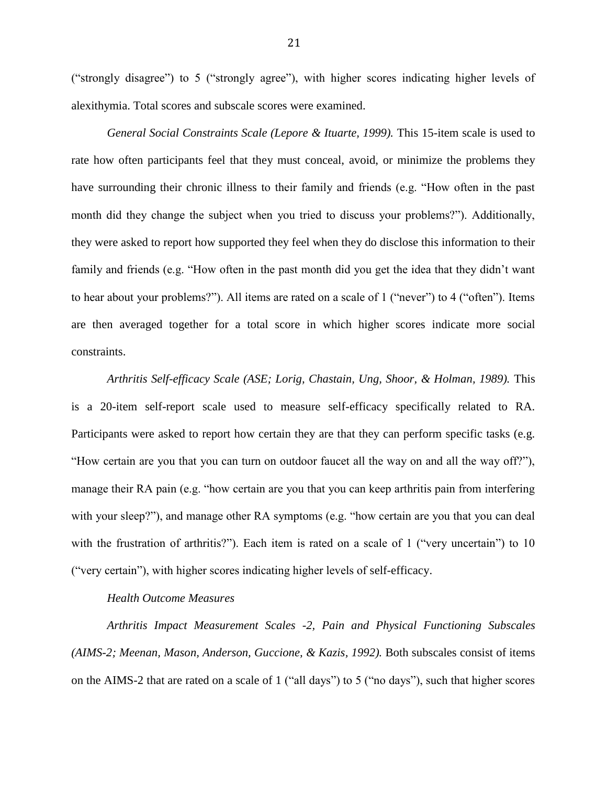("strongly disagree") to 5 ("strongly agree"), with higher scores indicating higher levels of alexithymia. Total scores and subscale scores were examined.

*General Social Constraints Scale (Lepore & Ituarte, 1999). This 15-item scale is used to* rate how often participants feel that they must conceal, avoid, or minimize the problems they have surrounding their chronic illness to their family and friends (e.g. "How often in the past month did they change the subject when you tried to discuss your problems?"). Additionally, they were asked to report how supported they feel when they do disclose this information to their family and friends (e.g. "How often in the past month did you get the idea that they didn't want to hear about your problems?"). All items are rated on a scale of 1 ("never") to 4 ("often"). Items are then averaged together for a total score in which higher scores indicate more social constraints.

*Arthritis Self-efficacy Scale (ASE; Lorig, Chastain, Ung, Shoor, & Holman, 1989).* This is a 20-item self-report scale used to measure self-efficacy specifically related to RA. Participants were asked to report how certain they are that they can perform specific tasks (e.g. "How certain are you that you can turn on outdoor faucet all the way on and all the way off?"), manage their RA pain (e.g. "how certain are you that you can keep arthritis pain from interfering with your sleep?"), and manage other RA symptoms (e.g. "how certain are you that you can deal with the frustration of arthritis?"). Each item is rated on a scale of 1 ("very uncertain") to 10 ("very certain"), with higher scores indicating higher levels of self-efficacy.

## *Health Outcome Measures*

*Arthritis Impact Measurement Scales -2, Pain and Physical Functioning Subscales (AIMS-2; Meenan, Mason, Anderson, Guccione, & Kazis, 1992).* Both subscales consist of items on the AIMS-2 that are rated on a scale of 1 ("all days") to 5 ("no days"), such that higher scores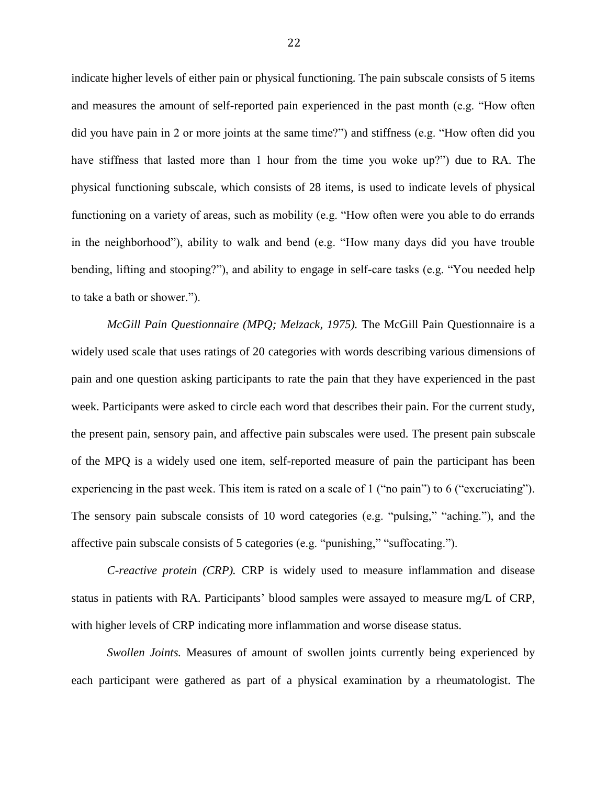indicate higher levels of either pain or physical functioning. The pain subscale consists of 5 items and measures the amount of self-reported pain experienced in the past month (e.g. "How often did you have pain in 2 or more joints at the same time?") and stiffness (e.g. "How often did you have stiffness that lasted more than 1 hour from the time you woke up?") due to RA. The physical functioning subscale, which consists of 28 items, is used to indicate levels of physical functioning on a variety of areas, such as mobility (e.g. "How often were you able to do errands in the neighborhood"), ability to walk and bend (e.g. "How many days did you have trouble bending, lifting and stooping?"), and ability to engage in self-care tasks (e.g. "You needed help to take a bath or shower.").

*McGill Pain Questionnaire (MPQ; Melzack, 1975).* The McGill Pain Questionnaire is a widely used scale that uses ratings of 20 categories with words describing various dimensions of pain and one question asking participants to rate the pain that they have experienced in the past week. Participants were asked to circle each word that describes their pain. For the current study, the present pain, sensory pain, and affective pain subscales were used. The present pain subscale of the MPQ is a widely used one item, self-reported measure of pain the participant has been experiencing in the past week. This item is rated on a scale of 1 ("no pain") to 6 ("excruciating"). The sensory pain subscale consists of 10 word categories (e.g. "pulsing," "aching."), and the affective pain subscale consists of 5 categories (e.g. "punishing," "suffocating.").

*C-reactive protein (CRP).* CRP is widely used to measure inflammation and disease status in patients with RA. Participants' blood samples were assayed to measure mg/L of CRP, with higher levels of CRP indicating more inflammation and worse disease status.

*Swollen Joints.* Measures of amount of swollen joints currently being experienced by each participant were gathered as part of a physical examination by a rheumatologist. The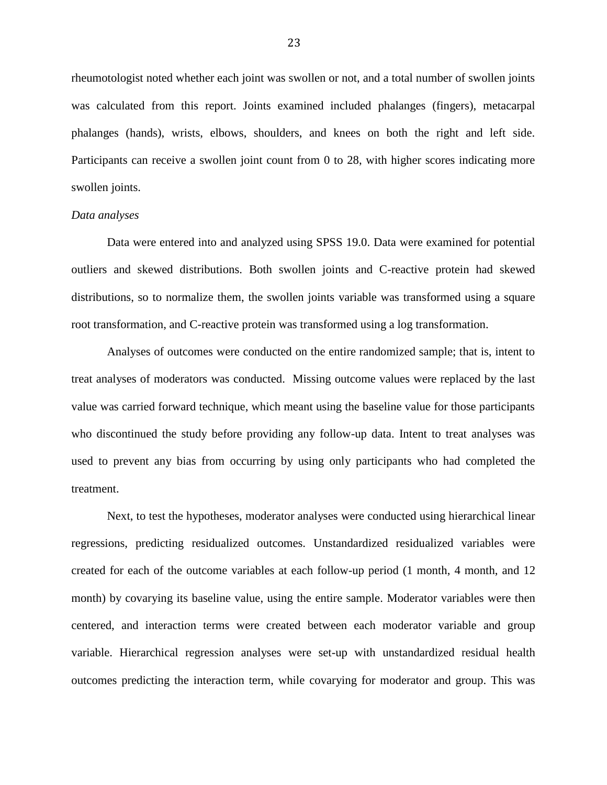rheumotologist noted whether each joint was swollen or not, and a total number of swollen joints was calculated from this report. Joints examined included phalanges (fingers), metacarpal phalanges (hands), wrists, elbows, shoulders, and knees on both the right and left side. Participants can receive a swollen joint count from 0 to 28, with higher scores indicating more swollen joints.

## *Data analyses*

Data were entered into and analyzed using SPSS 19.0. Data were examined for potential outliers and skewed distributions. Both swollen joints and C-reactive protein had skewed distributions, so to normalize them, the swollen joints variable was transformed using a square root transformation, and C-reactive protein was transformed using a log transformation.

Analyses of outcomes were conducted on the entire randomized sample; that is, intent to treat analyses of moderators was conducted. Missing outcome values were replaced by the last value was carried forward technique, which meant using the baseline value for those participants who discontinued the study before providing any follow-up data. Intent to treat analyses was used to prevent any bias from occurring by using only participants who had completed the treatment.

Next, to test the hypotheses, moderator analyses were conducted using hierarchical linear regressions, predicting residualized outcomes. Unstandardized residualized variables were created for each of the outcome variables at each follow-up period (1 month, 4 month, and 12 month) by covarying its baseline value, using the entire sample. Moderator variables were then centered, and interaction terms were created between each moderator variable and group variable. Hierarchical regression analyses were set-up with unstandardized residual health outcomes predicting the interaction term, while covarying for moderator and group. This was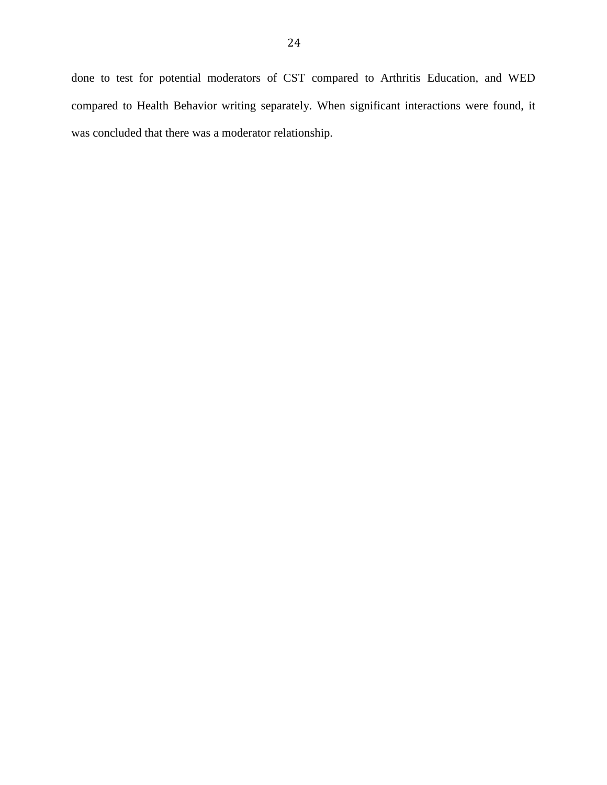done to test for potential moderators of CST compared to Arthritis Education, and WED compared to Health Behavior writing separately. When significant interactions were found, it was concluded that there was a moderator relationship.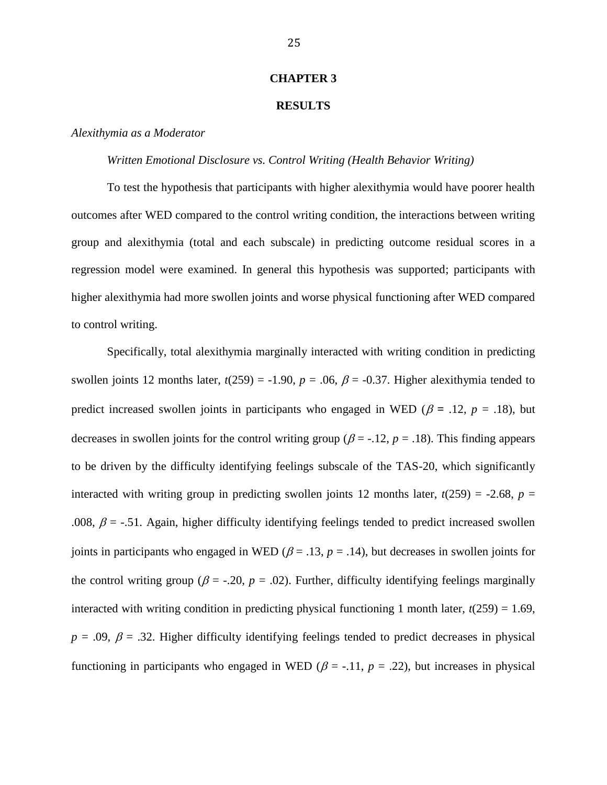#### **CHAPTER 3**

## **RESULTS**

## *Alexithymia as a Moderator*

#### *Written Emotional Disclosure vs. Control Writing (Health Behavior Writing)*

To test the hypothesis that participants with higher alexithymia would have poorer health outcomes after WED compared to the control writing condition, the interactions between writing group and alexithymia (total and each subscale) in predicting outcome residual scores in a regression model were examined. In general this hypothesis was supported; participants with higher alexithymia had more swollen joints and worse physical functioning after WED compared to control writing.

Specifically, total alexithymia marginally interacted with writing condition in predicting swollen joints 12 months later,  $t(259) = -1.90$ ,  $p = .06$ ,  $\beta = -0.37$ . Higher alexithymia tended to predict increased swollen joints in participants who engaged in WED ( $\beta$  = .12,  $p$  = .18), but decreases in swollen joints for the control writing group ( $\beta$  = -.12,  $p$  = .18). This finding appears to be driven by the difficulty identifying feelings subscale of the TAS-20, which significantly interacted with writing group in predicting swollen joints 12 months later,  $t(259) = -2.68$ ,  $p =$ .008,  $\beta$  = -.51. Again, higher difficulty identifying feelings tended to predict increased swollen joints in participants who engaged in WED ( $\beta$  = .13,  $p$  = .14), but decreases in swollen joints for the control writing group ( $\beta$  = -.20,  $p$  = .02). Further, difficulty identifying feelings marginally interacted with writing condition in predicting physical functioning 1 month later,  $t(259) = 1.69$ ,  $p = .09$ ,  $\beta = .32$ . Higher difficulty identifying feelings tended to predict decreases in physical functioning in participants who engaged in WED ( $\beta$  = -.11,  $p = .22$ ), but increases in physical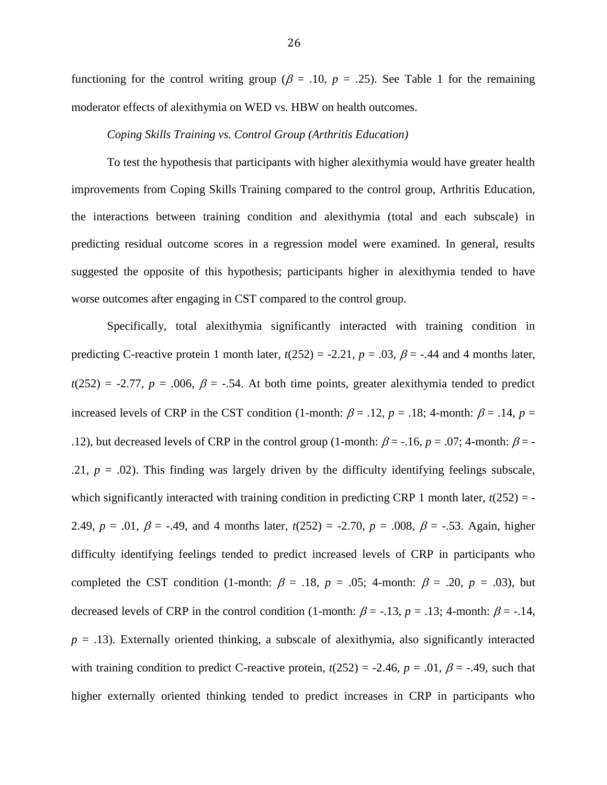functioning for the control writing group ( $\beta$  = .10,  $p$  = .25). See Table 1 for the remaining moderator effects of alexithymia on WED vs. HBW on health outcomes.

#### *Coping Skills Training vs. Control Group (Arthritis Education)*

To test the hypothesis that participants with higher alexithymia would have greater health improvements from Coping Skills Training compared to the control group, Arthritis Education, the interactions between training condition and alexithymia (total and each subscale) in predicting residual outcome scores in a regression model were examined. In general, results suggested the opposite of this hypothesis; participants higher in alexithymia tended to have worse outcomes after engaging in CST compared to the control group.

Specifically, total alexithymia significantly interacted with training condition in predicting C-reactive protein 1 month later,  $t(252) = -2.21$ ,  $p = .03$ ,  $\beta = -.44$  and 4 months later,  $t(252) = -2.77$ ,  $p = .006$ ,  $\beta = -.54$ . At both time points, greater alexithymia tended to predict increased levels of CRP in the CST condition (1-month:  $\beta = .12$ ,  $p = .18$ ; 4-month:  $\beta = .14$ ,  $p =$ .12), but decreased levels of CRP in the control group (1-month:  $\beta$  = -.16, *p* = .07; 4-month:  $\beta$  = -.21,  $p = .02$ ). This finding was largely driven by the difficulty identifying feelings subscale, which significantly interacted with training condition in predicting CRP 1 month later,  $t(252) = -$ 2.49,  $p = .01$ ,  $\beta = -.49$ , and 4 months later,  $t(252) = -2.70$ ,  $p = .008$ ,  $\beta = -.53$ . Again, higher difficulty identifying feelings tended to predict increased levels of CRP in participants who completed the CST condition (1-month:  $\beta = .18$ ,  $p = .05$ ; 4-month:  $\beta = .20$ ,  $p = .03$ ), but decreased levels of CRP in the control condition (1-month:  $\beta$  = -.13, *p* = .13; 4-month:  $\beta$  = -.14,  $p = .13$ ). Externally oriented thinking, a subscale of alexithymia, also significantly interacted with training condition to predict C-reactive protein,  $t(252) = -2.46$ ,  $p = .01$ ,  $\beta = -.49$ , such that higher externally oriented thinking tended to predict increases in CRP in participants who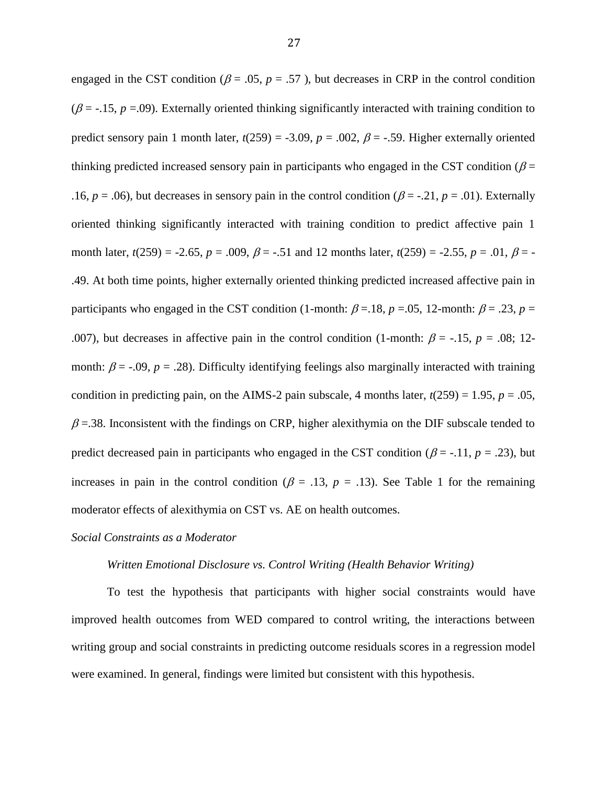engaged in the CST condition ( $\beta$  = .05,  $p$  = .57), but decreases in CRP in the control condition ( $\beta$  = -.15,  $p$  =.09). Externally oriented thinking significantly interacted with training condition to predict sensory pain 1 month later,  $t(259) = -3.09$ ,  $p = .002$ ,  $\beta = -.59$ . Higher externally oriented thinking predicted increased sensory pain in participants who engaged in the CST condition ( $\beta$  = .16,  $p = .06$ ), but decreases in sensory pain in the control condition ( $\beta = -.21$ ,  $p = .01$ ). Externally oriented thinking significantly interacted with training condition to predict affective pain 1 month later,  $t(259) = -2.65$ ,  $p = .009$ ,  $\beta = -.51$  and 12 months later,  $t(259) = -2.55$ ,  $p = .01$ ,  $\beta = -1$ .49. At both time points, higher externally oriented thinking predicted increased affective pain in participants who engaged in the CST condition (1-month:  $\beta$  = .18,  $p$  = .05, 12-month:  $\beta$  = .23,  $p$  = .007), but decreases in affective pain in the control condition (1-month:  $\beta$  = -.15,  $p = .08$ ; 12month:  $\beta$  = -.09,  $p = .28$ ). Difficulty identifying feelings also marginally interacted with training condition in predicting pain, on the AIMS-2 pain subscale, 4 months later,  $t(259) = 1.95$ ,  $p = .05$ ,  $\beta$  =.38. Inconsistent with the findings on CRP, higher alexithymia on the DIF subscale tended to predict decreased pain in participants who engaged in the CST condition ( $\beta$  = -.11,  $p$  = .23), but increases in pain in the control condition ( $\beta = .13$ ,  $p = .13$ ). See Table 1 for the remaining moderator effects of alexithymia on CST vs. AE on health outcomes.

#### *Social Constraints as a Moderator*

#### *Written Emotional Disclosure vs. Control Writing (Health Behavior Writing)*

To test the hypothesis that participants with higher social constraints would have improved health outcomes from WED compared to control writing, the interactions between writing group and social constraints in predicting outcome residuals scores in a regression model were examined. In general, findings were limited but consistent with this hypothesis.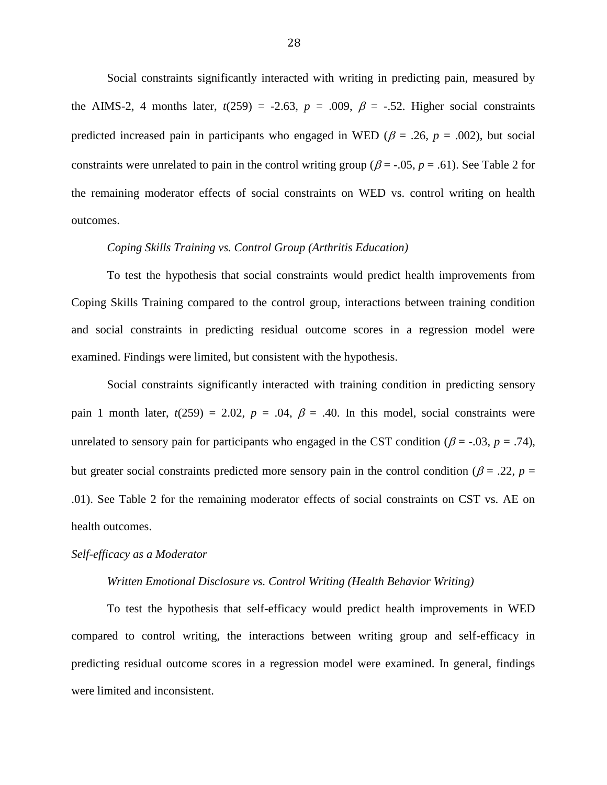Social constraints significantly interacted with writing in predicting pain, measured by the AIMS-2, 4 months later,  $t(259) = -2.63$ ,  $p = .009$ ,  $\beta = -.52$ . Higher social constraints predicted increased pain in participants who engaged in WED ( $\beta$  = .26,  $p$  = .002), but social constraints were unrelated to pain in the control writing group ( $\beta$  = -.05,  $p$  = .61). See Table 2 for the remaining moderator effects of social constraints on WED vs. control writing on health outcomes.

## *Coping Skills Training vs. Control Group (Arthritis Education)*

To test the hypothesis that social constraints would predict health improvements from Coping Skills Training compared to the control group, interactions between training condition and social constraints in predicting residual outcome scores in a regression model were examined. Findings were limited, but consistent with the hypothesis.

Social constraints significantly interacted with training condition in predicting sensory pain 1 month later,  $t(259) = 2.02$ ,  $p = .04$ ,  $\beta = .40$ . In this model, social constraints were unrelated to sensory pain for participants who engaged in the CST condition ( $\beta$  = -.03,  $p$  = .74), but greater social constraints predicted more sensory pain in the control condition ( $\beta$  = .22, *p* = .01). See Table 2 for the remaining moderator effects of social constraints on CST vs. AE on health outcomes.

#### *Self-efficacy as a Moderator*

#### *Written Emotional Disclosure vs. Control Writing (Health Behavior Writing)*

To test the hypothesis that self-efficacy would predict health improvements in WED compared to control writing, the interactions between writing group and self-efficacy in predicting residual outcome scores in a regression model were examined. In general, findings were limited and inconsistent.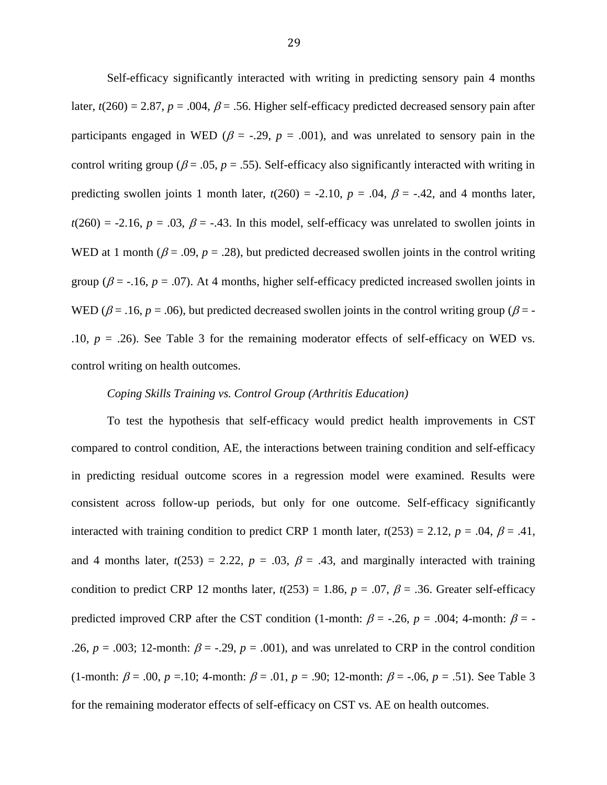Self-efficacy significantly interacted with writing in predicting sensory pain 4 months later,  $t(260) = 2.87$ ,  $p = .004$ ,  $\beta = .56$ . Higher self-efficacy predicted decreased sensory pain after participants engaged in WED ( $\beta$  = -.29,  $p$  = .001), and was unrelated to sensory pain in the control writing group ( $\beta$  = .05,  $p$  = .55). Self-efficacy also significantly interacted with writing in predicting swollen joints 1 month later,  $t(260) = -2.10$ ,  $p = .04$ ,  $\beta = -.42$ , and 4 months later,  $t(260) = -2.16$ ,  $p = .03$ ,  $\beta = -.43$ . In this model, self-efficacy was unrelated to swollen joints in WED at 1 month ( $\beta$  = .09,  $p$  = .28), but predicted decreased swollen joints in the control writing group ( $\beta$  = -.16,  $p = .07$ ). At 4 months, higher self-efficacy predicted increased swollen joints in WED ( $\beta$  = .16,  $p$  = .06), but predicted decreased swollen joints in the control writing group ( $\beta$  = -.10,  $p = .26$ ). See Table 3 for the remaining moderator effects of self-efficacy on WED vs. control writing on health outcomes.

## *Coping Skills Training vs. Control Group (Arthritis Education)*

To test the hypothesis that self-efficacy would predict health improvements in CST compared to control condition, AE, the interactions between training condition and self-efficacy in predicting residual outcome scores in a regression model were examined. Results were consistent across follow-up periods, but only for one outcome. Self-efficacy significantly interacted with training condition to predict CRP 1 month later,  $t(253) = 2.12$ ,  $p = .04$ ,  $\beta = .41$ , and 4 months later,  $t(253) = 2.22$ ,  $p = .03$ ,  $\beta = .43$ , and marginally interacted with training condition to predict CRP 12 months later,  $t(253) = 1.86$ ,  $p = .07$ ,  $\beta = .36$ . Greater self-efficacy predicted improved CRP after the CST condition (1-month:  $\beta$  = -.26, *p* = .004; 4-month:  $\beta$  = -.26,  $p = .003$ ; 12-month:  $\beta = -.29$ ,  $p = .001$ ), and was unrelated to CRP in the control condition (1-month:  $\beta = .00$ ,  $p = .10$ ; 4-month:  $\beta = .01$ ,  $p = .90$ ; 12-month:  $\beta = .06$ ,  $p = .51$ ). See Table 3 for the remaining moderator effects of self-efficacy on CST vs. AE on health outcomes.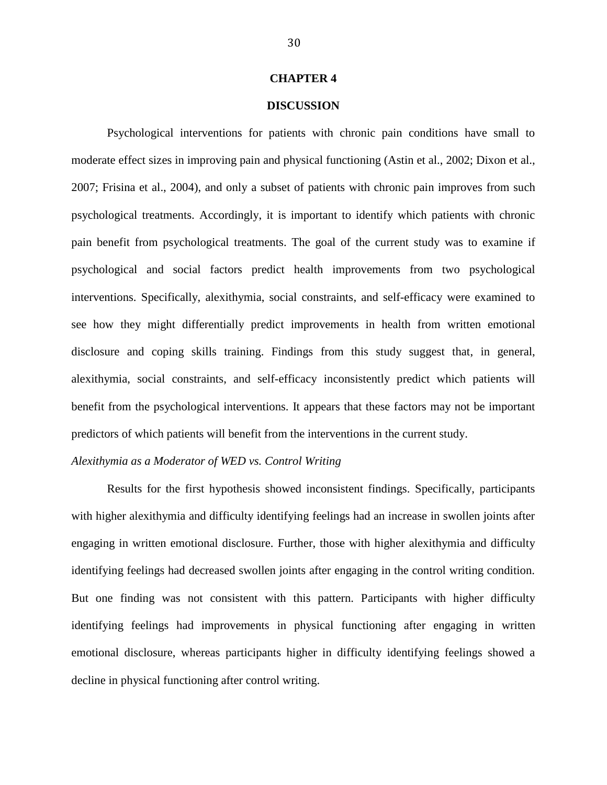#### **CHAPTER 4**

## **DISCUSSION**

Psychological interventions for patients with chronic pain conditions have small to moderate effect sizes in improving pain and physical functioning (Astin et al., 2002; Dixon et al., 2007; Frisina et al., 2004), and only a subset of patients with chronic pain improves from such psychological treatments. Accordingly, it is important to identify which patients with chronic pain benefit from psychological treatments. The goal of the current study was to examine if psychological and social factors predict health improvements from two psychological interventions. Specifically, alexithymia, social constraints, and self-efficacy were examined to see how they might differentially predict improvements in health from written emotional disclosure and coping skills training. Findings from this study suggest that, in general, alexithymia, social constraints, and self-efficacy inconsistently predict which patients will benefit from the psychological interventions. It appears that these factors may not be important predictors of which patients will benefit from the interventions in the current study.

## *Alexithymia as a Moderator of WED vs. Control Writing*

Results for the first hypothesis showed inconsistent findings. Specifically, participants with higher alexithymia and difficulty identifying feelings had an increase in swollen joints after engaging in written emotional disclosure. Further, those with higher alexithymia and difficulty identifying feelings had decreased swollen joints after engaging in the control writing condition. But one finding was not consistent with this pattern. Participants with higher difficulty identifying feelings had improvements in physical functioning after engaging in written emotional disclosure, whereas participants higher in difficulty identifying feelings showed a decline in physical functioning after control writing.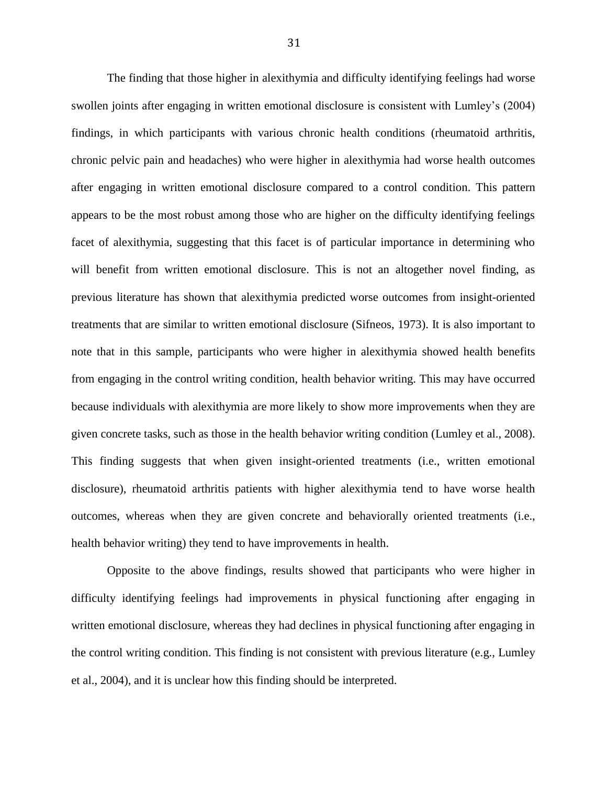The finding that those higher in alexithymia and difficulty identifying feelings had worse swollen joints after engaging in written emotional disclosure is consistent with Lumley's (2004) findings, in which participants with various chronic health conditions (rheumatoid arthritis, chronic pelvic pain and headaches) who were higher in alexithymia had worse health outcomes after engaging in written emotional disclosure compared to a control condition. This pattern appears to be the most robust among those who are higher on the difficulty identifying feelings facet of alexithymia, suggesting that this facet is of particular importance in determining who will benefit from written emotional disclosure. This is not an altogether novel finding, as previous literature has shown that alexithymia predicted worse outcomes from insight-oriented treatments that are similar to written emotional disclosure (Sifneos, 1973). It is also important to note that in this sample, participants who were higher in alexithymia showed health benefits from engaging in the control writing condition, health behavior writing. This may have occurred because individuals with alexithymia are more likely to show more improvements when they are given concrete tasks, such as those in the health behavior writing condition (Lumley et al., 2008). This finding suggests that when given insight-oriented treatments (i.e., written emotional disclosure), rheumatoid arthritis patients with higher alexithymia tend to have worse health outcomes, whereas when they are given concrete and behaviorally oriented treatments (i.e., health behavior writing) they tend to have improvements in health.

Opposite to the above findings, results showed that participants who were higher in difficulty identifying feelings had improvements in physical functioning after engaging in written emotional disclosure, whereas they had declines in physical functioning after engaging in the control writing condition. This finding is not consistent with previous literature (e.g., Lumley et al., 2004), and it is unclear how this finding should be interpreted.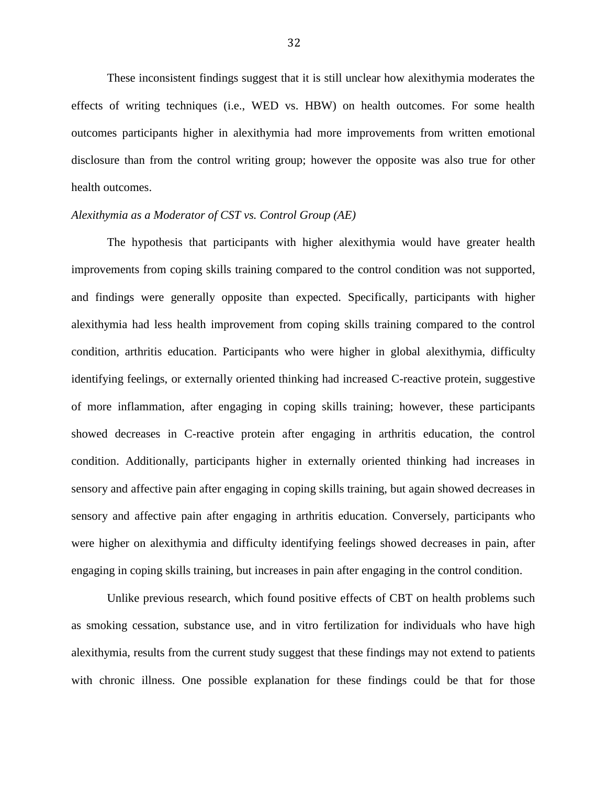These inconsistent findings suggest that it is still unclear how alexithymia moderates the effects of writing techniques (i.e., WED vs. HBW) on health outcomes. For some health outcomes participants higher in alexithymia had more improvements from written emotional disclosure than from the control writing group; however the opposite was also true for other health outcomes.

## *Alexithymia as a Moderator of CST vs. Control Group (AE)*

The hypothesis that participants with higher alexithymia would have greater health improvements from coping skills training compared to the control condition was not supported, and findings were generally opposite than expected. Specifically, participants with higher alexithymia had less health improvement from coping skills training compared to the control condition, arthritis education. Participants who were higher in global alexithymia, difficulty identifying feelings, or externally oriented thinking had increased C-reactive protein, suggestive of more inflammation, after engaging in coping skills training; however, these participants showed decreases in C-reactive protein after engaging in arthritis education, the control condition. Additionally, participants higher in externally oriented thinking had increases in sensory and affective pain after engaging in coping skills training, but again showed decreases in sensory and affective pain after engaging in arthritis education. Conversely, participants who were higher on alexithymia and difficulty identifying feelings showed decreases in pain, after engaging in coping skills training, but increases in pain after engaging in the control condition.

Unlike previous research, which found positive effects of CBT on health problems such as smoking cessation, substance use, and in vitro fertilization for individuals who have high alexithymia, results from the current study suggest that these findings may not extend to patients with chronic illness. One possible explanation for these findings could be that for those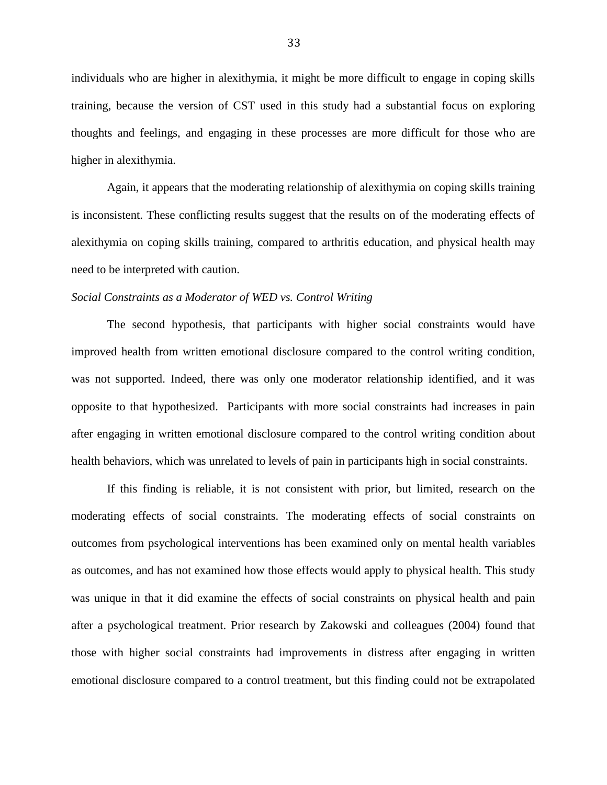individuals who are higher in alexithymia, it might be more difficult to engage in coping skills training, because the version of CST used in this study had a substantial focus on exploring thoughts and feelings, and engaging in these processes are more difficult for those who are higher in alexithymia.

Again, it appears that the moderating relationship of alexithymia on coping skills training is inconsistent. These conflicting results suggest that the results on of the moderating effects of alexithymia on coping skills training, compared to arthritis education, and physical health may need to be interpreted with caution.

## *Social Constraints as a Moderator of WED vs. Control Writing*

The second hypothesis, that participants with higher social constraints would have improved health from written emotional disclosure compared to the control writing condition, was not supported. Indeed, there was only one moderator relationship identified, and it was opposite to that hypothesized. Participants with more social constraints had increases in pain after engaging in written emotional disclosure compared to the control writing condition about health behaviors, which was unrelated to levels of pain in participants high in social constraints.

If this finding is reliable, it is not consistent with prior, but limited, research on the moderating effects of social constraints. The moderating effects of social constraints on outcomes from psychological interventions has been examined only on mental health variables as outcomes, and has not examined how those effects would apply to physical health. This study was unique in that it did examine the effects of social constraints on physical health and pain after a psychological treatment. Prior research by Zakowski and colleagues (2004) found that those with higher social constraints had improvements in distress after engaging in written emotional disclosure compared to a control treatment, but this finding could not be extrapolated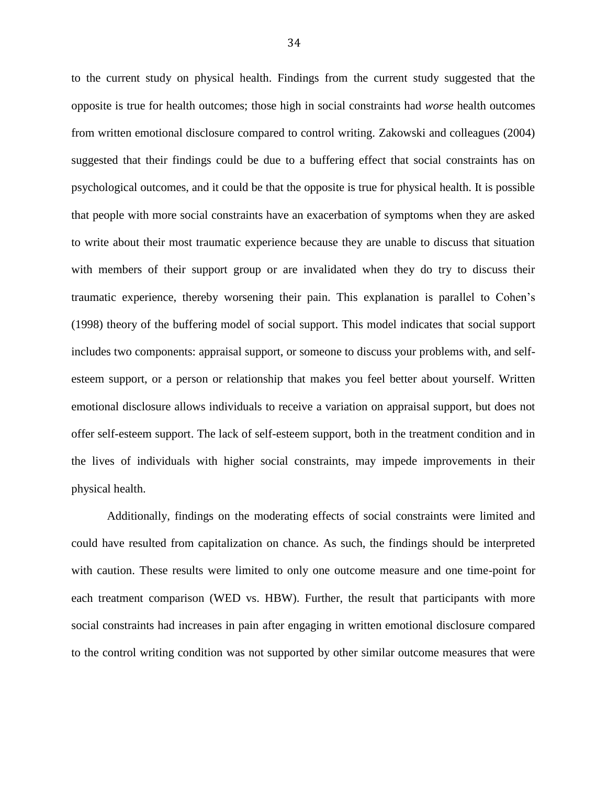to the current study on physical health. Findings from the current study suggested that the opposite is true for health outcomes; those high in social constraints had *worse* health outcomes from written emotional disclosure compared to control writing. Zakowski and colleagues (2004) suggested that their findings could be due to a buffering effect that social constraints has on psychological outcomes, and it could be that the opposite is true for physical health. It is possible that people with more social constraints have an exacerbation of symptoms when they are asked to write about their most traumatic experience because they are unable to discuss that situation with members of their support group or are invalidated when they do try to discuss their traumatic experience, thereby worsening their pain. This explanation is parallel to Cohen's (1998) theory of the buffering model of social support. This model indicates that social support includes two components: appraisal support, or someone to discuss your problems with, and selfesteem support, or a person or relationship that makes you feel better about yourself. Written emotional disclosure allows individuals to receive a variation on appraisal support, but does not offer self-esteem support. The lack of self-esteem support, both in the treatment condition and in the lives of individuals with higher social constraints, may impede improvements in their physical health.

Additionally, findings on the moderating effects of social constraints were limited and could have resulted from capitalization on chance. As such, the findings should be interpreted with caution. These results were limited to only one outcome measure and one time-point for each treatment comparison (WED vs. HBW). Further, the result that participants with more social constraints had increases in pain after engaging in written emotional disclosure compared to the control writing condition was not supported by other similar outcome measures that were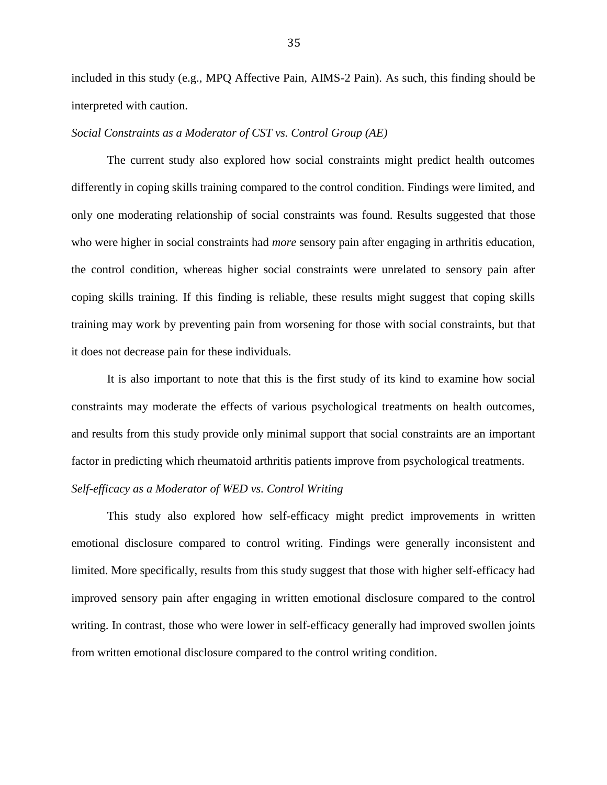included in this study (e.g., MPQ Affective Pain, AIMS-2 Pain). As such, this finding should be interpreted with caution.

## *Social Constraints as a Moderator of CST vs. Control Group (AE)*

The current study also explored how social constraints might predict health outcomes differently in coping skills training compared to the control condition. Findings were limited, and only one moderating relationship of social constraints was found. Results suggested that those who were higher in social constraints had *more* sensory pain after engaging in arthritis education, the control condition, whereas higher social constraints were unrelated to sensory pain after coping skills training. If this finding is reliable, these results might suggest that coping skills training may work by preventing pain from worsening for those with social constraints, but that it does not decrease pain for these individuals.

It is also important to note that this is the first study of its kind to examine how social constraints may moderate the effects of various psychological treatments on health outcomes, and results from this study provide only minimal support that social constraints are an important factor in predicting which rheumatoid arthritis patients improve from psychological treatments.

# *Self-efficacy as a Moderator of WED vs. Control Writing*

This study also explored how self-efficacy might predict improvements in written emotional disclosure compared to control writing. Findings were generally inconsistent and limited. More specifically, results from this study suggest that those with higher self-efficacy had improved sensory pain after engaging in written emotional disclosure compared to the control writing. In contrast, those who were lower in self-efficacy generally had improved swollen joints from written emotional disclosure compared to the control writing condition.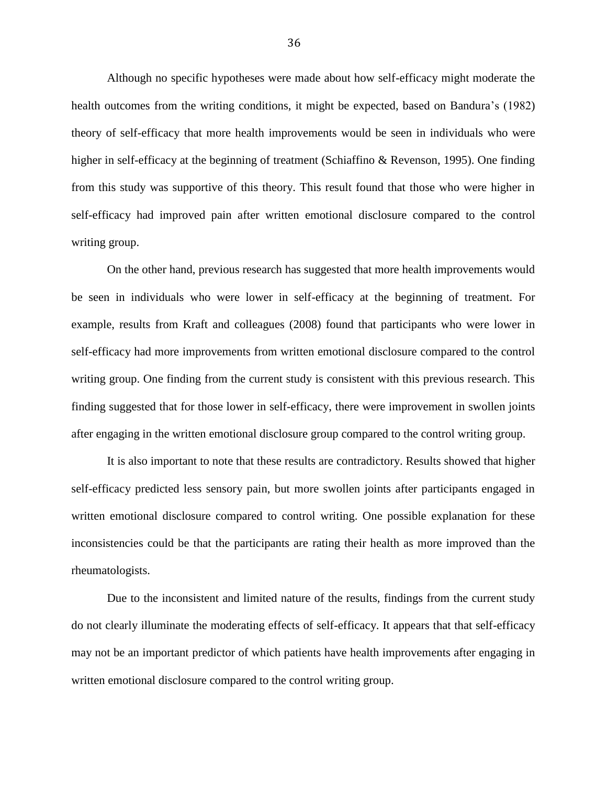Although no specific hypotheses were made about how self-efficacy might moderate the health outcomes from the writing conditions, it might be expected, based on Bandura's (1982) theory of self-efficacy that more health improvements would be seen in individuals who were higher in self-efficacy at the beginning of treatment (Schiaffino & Revenson, 1995). One finding from this study was supportive of this theory. This result found that those who were higher in self-efficacy had improved pain after written emotional disclosure compared to the control writing group.

On the other hand, previous research has suggested that more health improvements would be seen in individuals who were lower in self-efficacy at the beginning of treatment. For example, results from Kraft and colleagues (2008) found that participants who were lower in self-efficacy had more improvements from written emotional disclosure compared to the control writing group. One finding from the current study is consistent with this previous research. This finding suggested that for those lower in self-efficacy, there were improvement in swollen joints after engaging in the written emotional disclosure group compared to the control writing group.

It is also important to note that these results are contradictory. Results showed that higher self-efficacy predicted less sensory pain, but more swollen joints after participants engaged in written emotional disclosure compared to control writing. One possible explanation for these inconsistencies could be that the participants are rating their health as more improved than the rheumatologists.

Due to the inconsistent and limited nature of the results, findings from the current study do not clearly illuminate the moderating effects of self-efficacy. It appears that that self-efficacy may not be an important predictor of which patients have health improvements after engaging in written emotional disclosure compared to the control writing group.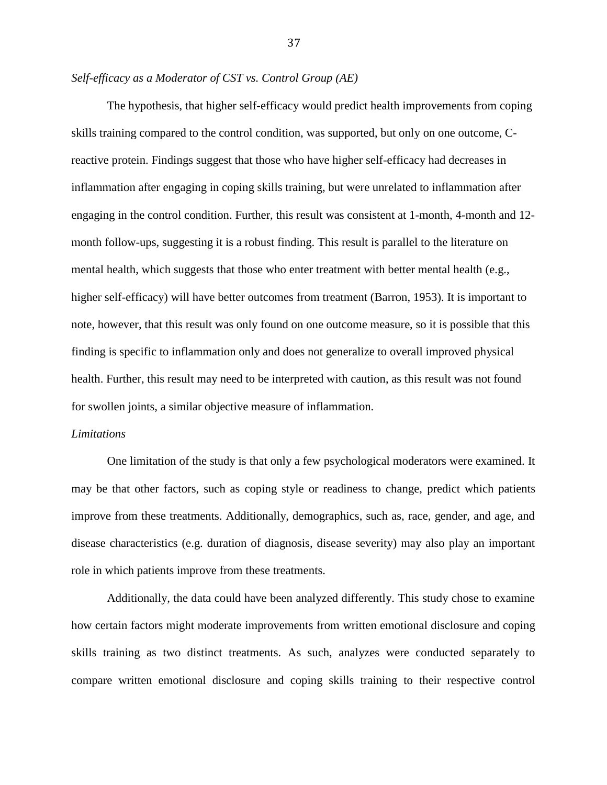## *Self-efficacy as a Moderator of CST vs. Control Group (AE)*

The hypothesis, that higher self-efficacy would predict health improvements from coping skills training compared to the control condition, was supported, but only on one outcome, Creactive protein. Findings suggest that those who have higher self-efficacy had decreases in inflammation after engaging in coping skills training, but were unrelated to inflammation after engaging in the control condition. Further, this result was consistent at 1-month, 4-month and 12 month follow-ups, suggesting it is a robust finding. This result is parallel to the literature on mental health, which suggests that those who enter treatment with better mental health (e.g., higher self-efficacy) will have better outcomes from treatment (Barron, 1953). It is important to note, however, that this result was only found on one outcome measure, so it is possible that this finding is specific to inflammation only and does not generalize to overall improved physical health. Further, this result may need to be interpreted with caution, as this result was not found for swollen joints, a similar objective measure of inflammation.

## *Limitations*

One limitation of the study is that only a few psychological moderators were examined. It may be that other factors, such as coping style or readiness to change, predict which patients improve from these treatments. Additionally, demographics, such as, race, gender, and age, and disease characteristics (e.g. duration of diagnosis, disease severity) may also play an important role in which patients improve from these treatments.

Additionally, the data could have been analyzed differently. This study chose to examine how certain factors might moderate improvements from written emotional disclosure and coping skills training as two distinct treatments. As such, analyzes were conducted separately to compare written emotional disclosure and coping skills training to their respective control

37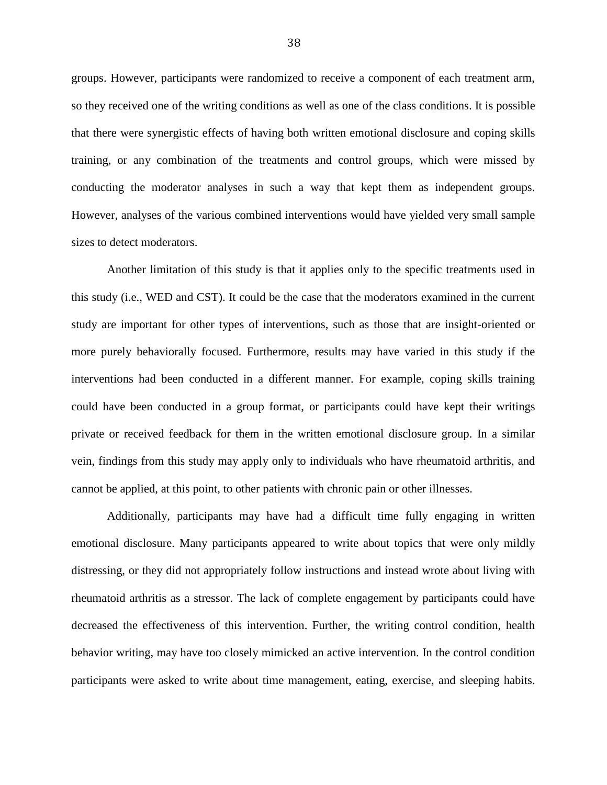groups. However, participants were randomized to receive a component of each treatment arm, so they received one of the writing conditions as well as one of the class conditions. It is possible that there were synergistic effects of having both written emotional disclosure and coping skills training, or any combination of the treatments and control groups, which were missed by conducting the moderator analyses in such a way that kept them as independent groups. However, analyses of the various combined interventions would have yielded very small sample sizes to detect moderators.

Another limitation of this study is that it applies only to the specific treatments used in this study (i.e., WED and CST). It could be the case that the moderators examined in the current study are important for other types of interventions, such as those that are insight-oriented or more purely behaviorally focused. Furthermore, results may have varied in this study if the interventions had been conducted in a different manner. For example, coping skills training could have been conducted in a group format, or participants could have kept their writings private or received feedback for them in the written emotional disclosure group. In a similar vein, findings from this study may apply only to individuals who have rheumatoid arthritis, and cannot be applied, at this point, to other patients with chronic pain or other illnesses.

Additionally, participants may have had a difficult time fully engaging in written emotional disclosure. Many participants appeared to write about topics that were only mildly distressing, or they did not appropriately follow instructions and instead wrote about living with rheumatoid arthritis as a stressor. The lack of complete engagement by participants could have decreased the effectiveness of this intervention. Further, the writing control condition, health behavior writing, may have too closely mimicked an active intervention. In the control condition participants were asked to write about time management, eating, exercise, and sleeping habits.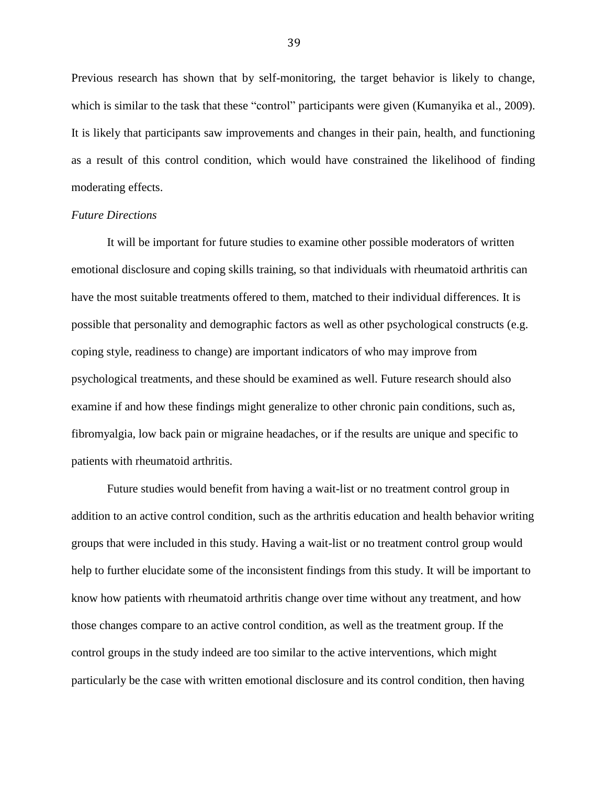Previous research has shown that by self-monitoring, the target behavior is likely to change, which is similar to the task that these "control" participants were given (Kumanyika et al., 2009). It is likely that participants saw improvements and changes in their pain, health, and functioning as a result of this control condition, which would have constrained the likelihood of finding moderating effects.

## *Future Directions*

It will be important for future studies to examine other possible moderators of written emotional disclosure and coping skills training, so that individuals with rheumatoid arthritis can have the most suitable treatments offered to them, matched to their individual differences. It is possible that personality and demographic factors as well as other psychological constructs (e.g. coping style, readiness to change) are important indicators of who may improve from psychological treatments, and these should be examined as well. Future research should also examine if and how these findings might generalize to other chronic pain conditions, such as, fibromyalgia, low back pain or migraine headaches, or if the results are unique and specific to patients with rheumatoid arthritis.

Future studies would benefit from having a wait-list or no treatment control group in addition to an active control condition, such as the arthritis education and health behavior writing groups that were included in this study. Having a wait-list or no treatment control group would help to further elucidate some of the inconsistent findings from this study. It will be important to know how patients with rheumatoid arthritis change over time without any treatment, and how those changes compare to an active control condition, as well as the treatment group. If the control groups in the study indeed are too similar to the active interventions, which might particularly be the case with written emotional disclosure and its control condition, then having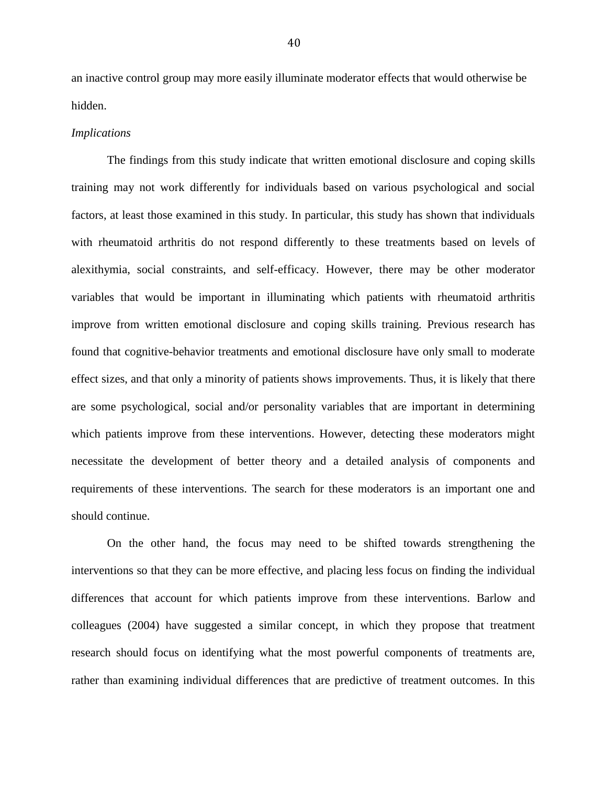an inactive control group may more easily illuminate moderator effects that would otherwise be hidden.

#### *Implications*

The findings from this study indicate that written emotional disclosure and coping skills training may not work differently for individuals based on various psychological and social factors, at least those examined in this study. In particular, this study has shown that individuals with rheumatoid arthritis do not respond differently to these treatments based on levels of alexithymia, social constraints, and self-efficacy. However, there may be other moderator variables that would be important in illuminating which patients with rheumatoid arthritis improve from written emotional disclosure and coping skills training. Previous research has found that cognitive-behavior treatments and emotional disclosure have only small to moderate effect sizes, and that only a minority of patients shows improvements. Thus, it is likely that there are some psychological, social and/or personality variables that are important in determining which patients improve from these interventions. However, detecting these moderators might necessitate the development of better theory and a detailed analysis of components and requirements of these interventions. The search for these moderators is an important one and should continue.

On the other hand, the focus may need to be shifted towards strengthening the interventions so that they can be more effective, and placing less focus on finding the individual differences that account for which patients improve from these interventions. Barlow and colleagues (2004) have suggested a similar concept, in which they propose that treatment research should focus on identifying what the most powerful components of treatments are, rather than examining individual differences that are predictive of treatment outcomes. In this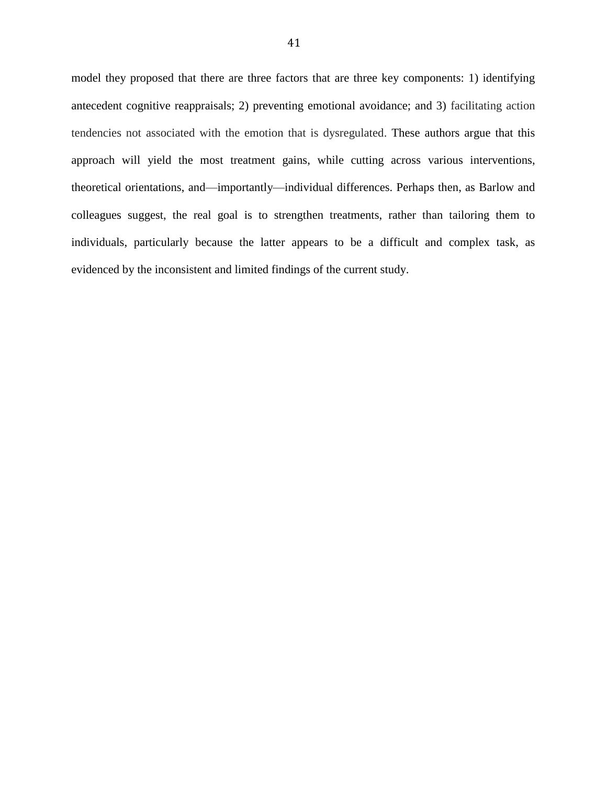model they proposed that there are three factors that are three key components: 1) identifying antecedent cognitive reappraisals; 2) preventing emotional avoidance; and 3) facilitating action tendencies not associated with the emotion that is dysregulated. These authors argue that this approach will yield the most treatment gains, while cutting across various interventions, theoretical orientations, and—importantly—individual differences. Perhaps then, as Barlow and colleagues suggest, the real goal is to strengthen treatments, rather than tailoring them to individuals, particularly because the latter appears to be a difficult and complex task, as evidenced by the inconsistent and limited findings of the current study.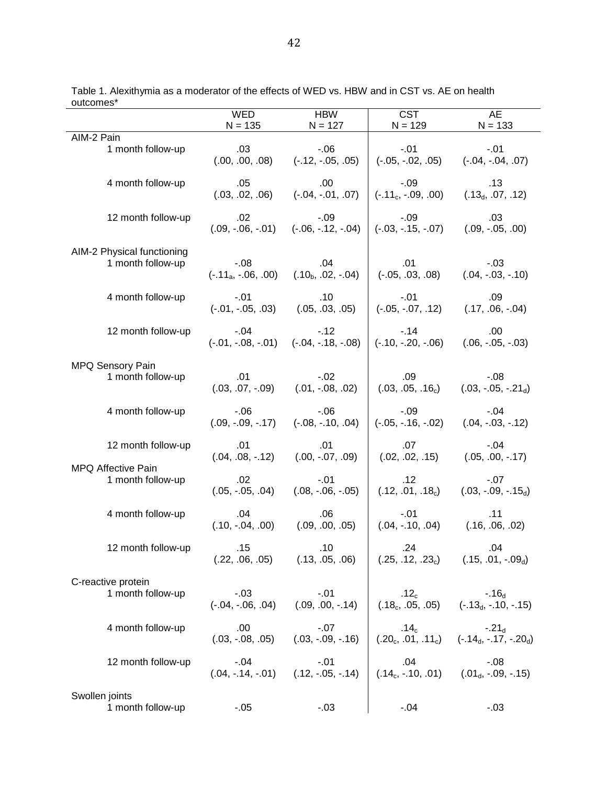|                                     | <b>WED</b>                                      | <b>HBW</b>                                          | <b>CST</b>                                           | <b>AE</b>                                                                                            |
|-------------------------------------|-------------------------------------------------|-----------------------------------------------------|------------------------------------------------------|------------------------------------------------------------------------------------------------------|
|                                     | $N = 135$                                       | $N = 127$                                           | $N = 129$                                            | $N = 133$                                                                                            |
| AIM-2 Pain                          |                                                 |                                                     |                                                      |                                                                                                      |
| 1 month follow-up                   | .03                                             | $-0.06$                                             | $-01$                                                | $-.01$                                                                                               |
|                                     | (.00, .00, .08)                                 | $(-.12, -.05, .05)$                                 | $(-.05, -.02, .05)$                                  | $(-.04, -.04, .07)$                                                                                  |
| 4 month follow-up                   | .05                                             | .00.                                                | $-.09$                                               | .13                                                                                                  |
|                                     | (.03, .02, .06)                                 | $(-.04, -.01, .07)$                                 | $(-.11_c, -.09, .00)$                                | $(.13_d, .07, .12)$                                                                                  |
| 12 month follow-up                  | .02                                             | $-0.09$                                             | $-09$                                                | .03                                                                                                  |
|                                     | $(.09, -.06, -.01)$                             | $(-.06, -.12, -.04)$                                | $(-.03, -.15, -.07)$                                 | $(.09, -.05, .00)$                                                                                   |
| AIM-2 Physical functioning          | $-0.08$                                         | .04                                                 | .01                                                  | $-.03$                                                                                               |
| 1 month follow-up                   | $(-.11_{a}, -.06, .00)$                         | $(.10b, .02, -.04)$                                 | $(-.05, .03, .08)$                                   | $(.04, -.03, -.10)$                                                                                  |
| 4 month follow-up                   | $-.01$                                          | .10                                                 | $-.01$                                               | .09                                                                                                  |
|                                     | $(-.01, -.05, .03)$                             | (.05, .03, .05)                                     | $(-.05, -.07, .12)$                                  | $(.17, .06, -.04)$                                                                                   |
| 12 month follow-up                  | $-.04$                                          | $-.12$<br>$(-.01, -.08, -.01)$ $(-.04, -.18, -.08)$ | $-14$<br>$(-.10, -.20, -.06)$                        | .00<br>$(.06, -.05, -.03)$                                                                           |
| MPQ Sensory Pain                    |                                                 |                                                     |                                                      |                                                                                                      |
| 1 month follow-up                   | .01                                             | $-.02$                                              | .09                                                  | $-0.08$                                                                                              |
|                                     | $(.03, .07, -.09)$                              | $(.01, -.08, .02)$                                  | (.03, .05, .16 <sub>c</sub> )                        | $(.03, -.05, -.21d)$                                                                                 |
| 4 month follow-up                   | $-06$                                           | $-0.06$                                             | $-.09$                                               | $-.04$                                                                                               |
|                                     | $(.09, -.09, -.17)$                             | $(-.08, -.10, .04)$                                 | $(-.05, -.16, -.02)$                                 | $(.04, -.03, -.12)$                                                                                  |
| 12 month follow-up                  | .01                                             | .01                                                 | .07                                                  | $-04$                                                                                                |
|                                     | $(.04, .08, -.12)$                              | $(.00, -.07, .09)$                                  | (.02, .02, .15)                                      | $(.05, .00, -.17)$                                                                                   |
| MPQ Affective Pain                  | .02                                             | $-01$                                               | .12                                                  | $-07$                                                                                                |
| 1 month follow-up                   | $(.05, -.05, .04)$                              | $(.08, -.06, -.05)$                                 | (.12, .01, .18 <sub>c</sub> )                        | $(.03, -.09, -.15_d)$                                                                                |
| 4 month follow-up                   | .04                                             | .06                                                 | $-.01$                                               | .11                                                                                                  |
|                                     | $(.10, -.04, .00)$                              | (.09, .00, .05)                                     | $(.04, -.10, .04)$                                   | (.16, .06, .02)                                                                                      |
| 12 month follow-up                  | .15<br>(.22, .06, .05)                          | .10<br>(.13, .05, .06)                              | .24<br>$(0.25, 0.12, 0.23_c)$ $(0.15, 0.01, 0.09_d)$ | .04                                                                                                  |
| C-reactive protein                  |                                                 |                                                     |                                                      |                                                                                                      |
| 1 month follow-up                   | $-03$<br>$(-.04, -.06, .04)$ $(.09, .00, -.14)$ | $-.01$                                              |                                                      | $12_c$ - $16_d$<br>(.18 <sub>c</sub> , .05, .05) (-.13 <sub>d</sub> , -.10, -.15)                    |
| 4 month follow-up                   | .00                                             | $-.07$<br>$(.03, -.08, .05)$ $(.03, -.09, -.16)$    |                                                      | $14_c$<br>(.20 <sub>c</sub> , .01, .11 <sub>c</sub> ) (-.14 <sub>d</sub> , -.17, -.20 <sub>d</sub> ) |
| 12 month follow-up                  | $-.04$                                          | $-.01$<br>$(.04, -.14, -.01)$ $(.12, -.05, -.14)$   | .04                                                  | $-.08$<br>.08.-<br>(.14 <sub>c</sub> , -.10, .01) (.01 <sub>d</sub> , -.09, -.15)                    |
| Swollen joints<br>1 month follow-up | $-0.05$                                         | $-03$                                               | $-.04$                                               | $-.03$                                                                                               |

Table 1. Alexithymia as a moderator of the effects of WED vs. HBW and in CST vs. AE on health outcomes\*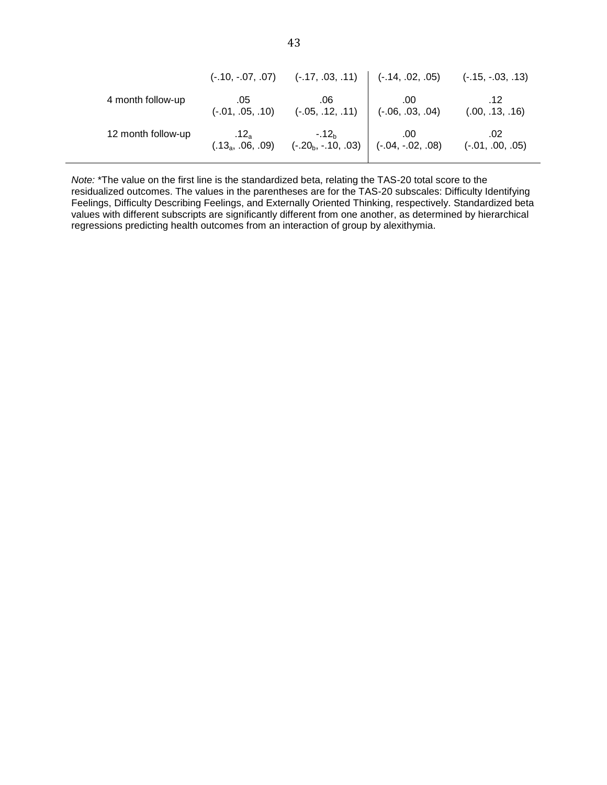|                    | $(-.10, -.07, .07)$              | $(-.17, .03, .11)$ $(-.14, .02, .05)$                  |                           | $(-.15, -.03, .13)$       |
|--------------------|----------------------------------|--------------------------------------------------------|---------------------------|---------------------------|
| 4 month follow-up  | .05<br>$(-.01, .05, .10)$        | .06<br>$(-.05, .12, .11)$                              | .00<br>$(-.06, .03, .04)$ | .12<br>(.00, .13, .16)    |
| 12 month follow-up | $.12_a$<br>$(.13_{a}, .06, .09)$ | $-.12b$<br>$(-.20_{b}, -.10, .03)$ $(-.04, -.02, .08)$ | .00                       | .02<br>$(-.01, .00, .05)$ |

*Note:* \*The value on the first line is the standardized beta, relating the TAS-20 total score to the residualized outcomes. The values in the parentheses are for the TAS-20 subscales: Difficulty Identifying Feelings, Difficulty Describing Feelings, and Externally Oriented Thinking, respectively. Standardized beta values with different subscripts are significantly different from one another, as determined by hierarchical regressions predicting health outcomes from an interaction of group by alexithymia.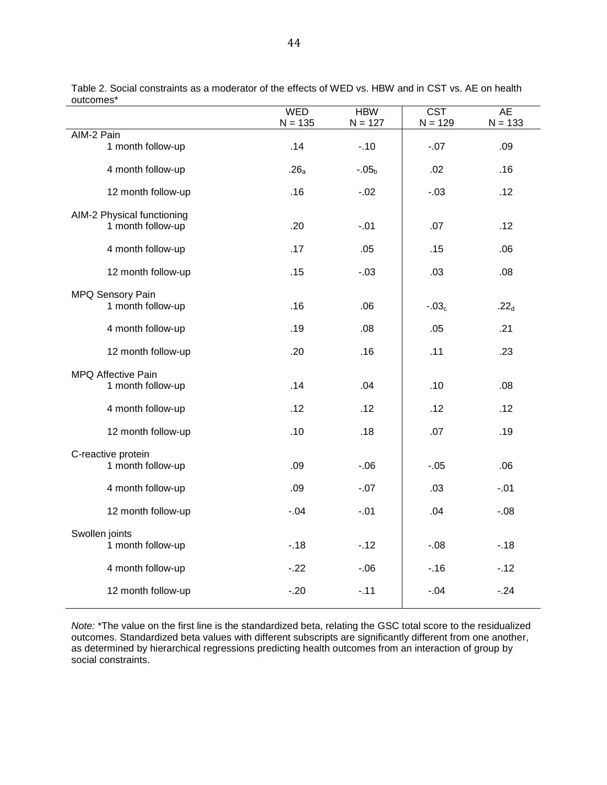| บนเบบเเธอ                  | <b>WED</b>       | <b>HBW</b> | <b>CST</b> | <b>AE</b>        |
|----------------------------|------------------|------------|------------|------------------|
| AIM-2 Pain                 | $N = 135$        | $N = 127$  | $N = 129$  | $N = 133$        |
| 1 month follow-up          | .14              | $-10$      | $-.07$     | .09              |
| 4 month follow-up          | .26 <sub>a</sub> | $-.05b$    | .02        | .16              |
| 12 month follow-up         | .16              | $-.02$     | $-.03$     | .12              |
| AIM-2 Physical functioning |                  |            |            |                  |
| 1 month follow-up          | .20              | $-.01$     | .07        | .12              |
| 4 month follow-up          | .17              | .05        | .15        | .06              |
| 12 month follow-up         | .15              | $-.03$     | .03        | .08              |
| MPQ Sensory Pain           |                  |            |            |                  |
| 1 month follow-up          | .16              | .06        | $-.03c$    | .22 <sub>d</sub> |
| 4 month follow-up          | .19              | .08        | .05        | .21              |
| 12 month follow-up         | .20              | .16        | .11        | .23              |
| MPQ Affective Pain         |                  |            |            |                  |
| 1 month follow-up          | .14              | .04        | .10        | .08              |
| 4 month follow-up          | .12              | .12        | .12        | .12              |
| 12 month follow-up         | .10              | .18        | .07        | .19              |
| C-reactive protein         |                  |            |            |                  |
| 1 month follow-up          | .09              | $-06$      | $-0.05$    | .06              |
| 4 month follow-up          | .09              | $-.07$     | .03        | $-.01$           |
| 12 month follow-up         | $-.04$           | $-.01$     | .04        | $-0.08$          |
| Swollen joints             |                  |            |            |                  |
| 1 month follow-up          | $-18$            | $-12$      | $-0.08$    | $-18$            |
| 4 month follow-up          | $-22$            | $-06$      | $-16$      | $-12$            |
| 12 month follow-up         | $-.20$           | $-11$      | $-.04$     | $-.24$           |
|                            |                  |            |            |                  |

Table 2. Social constraints as a moderator of the effects of WED vs. HBW and in CST vs. AE on health outcomes\*

*Note:* \*The value on the first line is the standardized beta, relating the GSC total score to the residualized outcomes. Standardized beta values with different subscripts are significantly different from one another, as determined by hierarchical regressions predicting health outcomes from an interaction of group by social constraints.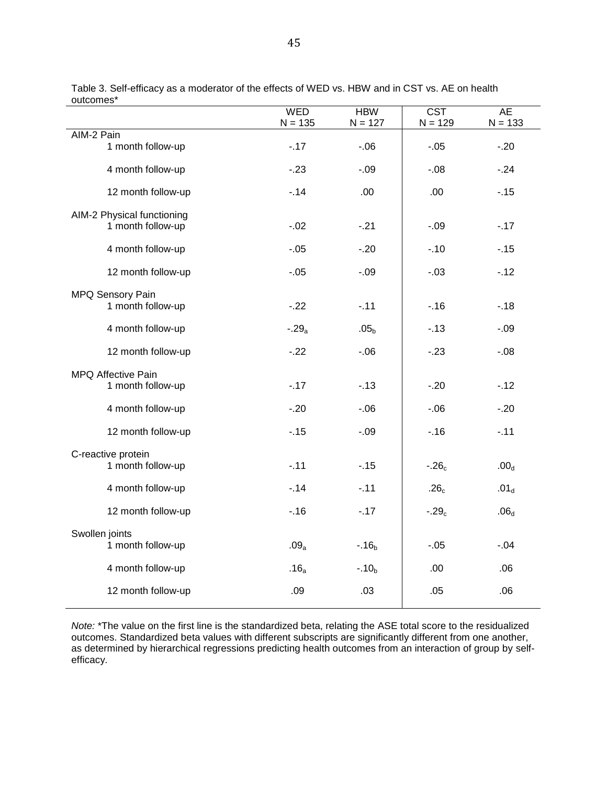|                            | <b>WED</b><br>$N = 135$ | <b>HBW</b><br>$N = 127$ | <b>CST</b><br>$N = 129$ | <b>AE</b><br>$N = 133$ |
|----------------------------|-------------------------|-------------------------|-------------------------|------------------------|
| AIM-2 Pain                 |                         |                         |                         |                        |
| 1 month follow-up          | $-17$                   | $-06$                   | $-.05$                  | $-20$                  |
| 4 month follow-up          | $-23$                   | $-.09$                  | $-0.08$                 | $-.24$                 |
| 12 month follow-up         | $-14$                   | .00                     | .00                     | $-.15$                 |
| AIM-2 Physical functioning |                         |                         |                         |                        |
| 1 month follow-up          | $-02$                   | $-21$                   | $-.09$                  | $-17$                  |
| 4 month follow-up          | $-.05$                  | $-20$                   | $-10$                   | $-15$                  |
| 12 month follow-up         | $-05$                   | $-.09$                  | $-.03$                  | $-12$                  |
| <b>MPQ Sensory Pain</b>    |                         |                         |                         |                        |
| 1 month follow-up          | $-22$                   | $-.11$                  | $-.16$                  | $-18$                  |
| 4 month follow-up          | $-.29a$                 | .05 <sub>b</sub>        | $-13$                   | $-.09$                 |
| 12 month follow-up         | $-22$                   | $-0.06$                 | $-23$                   | $-0.08$                |
| MPQ Affective Pain         |                         |                         |                         |                        |
| 1 month follow-up          | $-17$                   | $-13$                   | $-20$                   | $-.12$                 |
| 4 month follow-up          | $-20$                   | $-06$                   | $-0.06$                 | $-20$                  |
| 12 month follow-up         | $-15$                   | $-.09$                  | $-.16$                  | $-.11$                 |
| C-reactive protein         |                         |                         |                         |                        |
| 1 month follow-up          | $-11$                   | $-15$                   | $-.26c$                 | .00 <sub>d</sub>       |
| 4 month follow-up          | $-14$                   | $-.11$                  | .26 <sub>c</sub>        | .01 <sub>d</sub>       |
| 12 month follow-up         | $-16$                   | $-17$                   | $-.29c$                 | .06 <sub>d</sub>       |
| Swollen joints             |                         |                         |                         |                        |
| 1 month follow-up          | .09 <sub>a</sub>        | $-.16b$                 | $-.05$                  | $-.04$                 |
| 4 month follow-up          | .16 <sub>a</sub>        | $-.10b$                 | .00                     | .06                    |
| 12 month follow-up         | .09                     | .03                     | .05                     | .06                    |

Table 3. Self-efficacy as a moderator of the effects of WED vs. HBW and in CST vs. AE on health outcomes\*

*Note:* \*The value on the first line is the standardized beta, relating the ASE total score to the residualized outcomes. Standardized beta values with different subscripts are significantly different from one another, as determined by hierarchical regressions predicting health outcomes from an interaction of group by selfefficacy.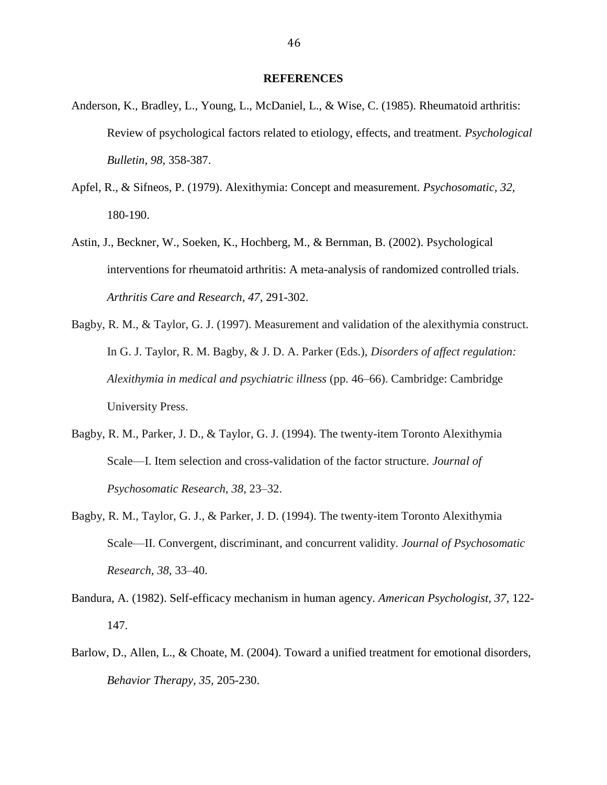#### **REFERENCES**

- Anderson, K., Bradley, L., Young, L., McDaniel, L., & Wise, C. (1985). Rheumatoid arthritis: Review of psychological factors related to etiology, effects, and treatment. *Psychological Bulletin, 98,* 358-387.
- Apfel, R., & Sifneos, P. (1979). Alexithymia: Concept and measurement. *Psychosomatic, 32,* 180-190.
- Astin, J., Beckner, W., Soeken, K., Hochberg, M., & Bernman, B. (2002). Psychological interventions for rheumatoid arthritis: A meta-analysis of randomized controlled trials. *Arthritis Care and Research, 47,* 291-302.
- Bagby, R. M., & Taylor, G. J. (1997). Measurement and validation of the alexithymia construct. In G. J. Taylor, R. M. Bagby, & J. D. A. Parker (Eds.), *Disorders of affect regulation: Alexithymia in medical and psychiatric illness* (pp. 46–66). Cambridge: Cambridge University Press.
- Bagby, R. M., Parker, J. D., & Taylor, G. J. (1994). The twenty-item Toronto Alexithymia Scale—I. Item selection and cross-validation of the factor structure. *Journal of Psychosomatic Research, 38*, 23–32.
- Bagby, R. M., Taylor, G. J., & Parker, J. D. (1994). The twenty-item Toronto Alexithymia Scale—II. Convergent, discriminant, and concurrent validity. *Journal of Psychosomatic Research, 38*, 33–40.
- Bandura, A. (1982). Self-efficacy mechanism in human agency. *American Psychologist, 37,* 122- 147.
- Barlow, D., Allen, L., & Choate, M. (2004). Toward a unified treatment for emotional disorders, *Behavior Therapy, 35,* 205-230.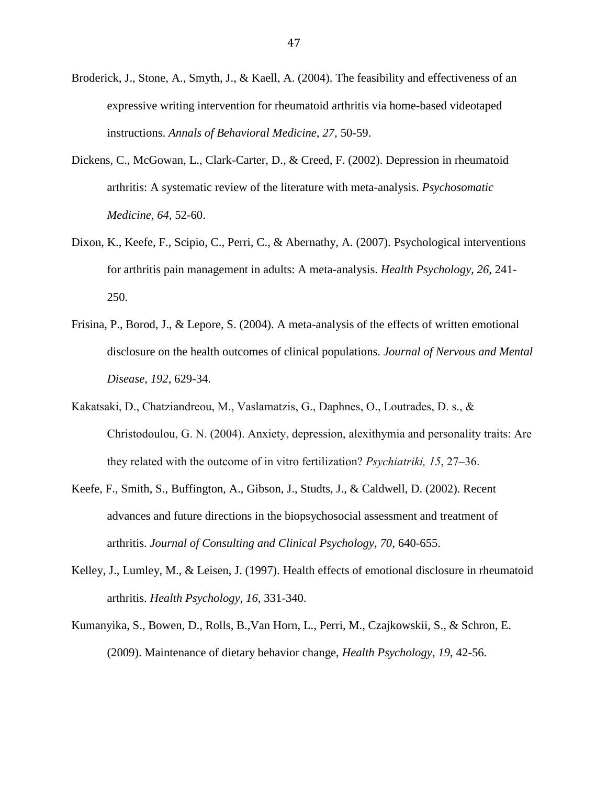- Broderick, J., Stone, A., Smyth, J., & Kaell, A. (2004). The feasibility and effectiveness of an expressive writing intervention for rheumatoid arthritis via home-based videotaped instructions. *Annals of Behavioral Medicine, 27,* 50-59.
- Dickens, C., McGowan, L., Clark-Carter, D., & Creed, F. (2002). Depression in rheumatoid arthritis: A systematic review of the literature with meta-analysis. *Psychosomatic Medicine, 64,* 52-60.
- Dixon, K., Keefe, F., Scipio, C., Perri, C., & Abernathy, A. (2007). Psychological interventions for arthritis pain management in adults: A meta-analysis. *Health Psychology, 26,* 241- 250.
- Frisina, P., Borod, J., & Lepore, S. (2004). A meta-analysis of the effects of written emotional disclosure on the health outcomes of clinical populations. *Journal of Nervous and Mental Disease*, *192*, 629-34.
- Kakatsaki, D., Chatziandreou, M., Vaslamatzis, G., Daphnes, O., Loutrades, D. s., & Christodoulou, G. N. (2004). Anxiety, depression, alexithymia and personality traits: Are they related with the outcome of in vitro fertilization? *Psychiatriki, 15*, 27–36.
- Keefe, F., Smith, S., Buffington, A., Gibson, J., Studts, J., & Caldwell, D. (2002). Recent advances and future directions in the biopsychosocial assessment and treatment of arthritis. *Journal of Consulting and Clinical Psychology, 70,* 640-655.
- Kelley, J., Lumley, M., & Leisen, J. (1997). Health effects of emotional disclosure in rheumatoid arthritis. *Health Psychology, 16,* 331-340.
- Kumanyika, S., Bowen, D., Rolls, B.,Van Horn, L., Perri, M., Czajkowskii, S., & Schron, E. (2009). Maintenance of dietary behavior change, *Health Psychology, 19,* 42-56.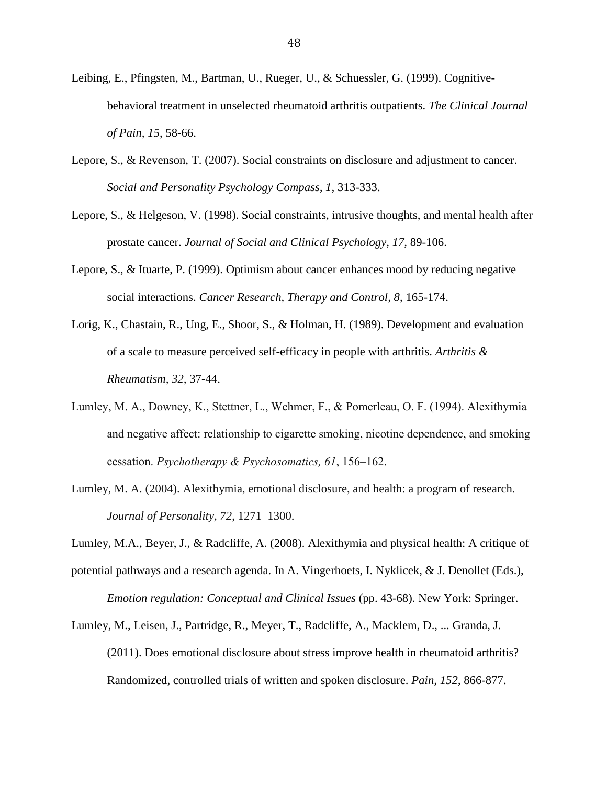- Leibing, E., Pfingsten, M., Bartman, U., Rueger, U., & Schuessler, G. (1999). Cognitivebehavioral treatment in unselected rheumatoid arthritis outpatients. *The Clinical Journal of Pain, 15*, 58-66.
- Lepore, S., & Revenson, T. (2007). Social constraints on disclosure and adjustment to cancer. *Social and Personality Psychology Compass, 1,* 313-333.
- Lepore, S., & Helgeson, V. (1998). Social constraints, intrusive thoughts, and mental health after prostate cancer. *Journal of Social and Clinical Psychology, 17,* 89-106.
- Lepore, S., & Ituarte, P. (1999). Optimism about cancer enhances mood by reducing negative social interactions. *Cancer Research, Therapy and Control, 8*, 165-174.
- Lorig, K., Chastain, R., Ung, E., Shoor, S., & Holman, H. (1989). Development and evaluation of a scale to measure perceived self-efficacy in people with arthritis. *Arthritis & Rheumatism, 32,* 37-44.
- Lumley, M. A., Downey, K., Stettner, L., Wehmer, F., & Pomerleau, O. F. (1994). Alexithymia and negative affect: relationship to cigarette smoking, nicotine dependence, and smoking cessation. *Psychotherapy & Psychosomatics, 61*, 156–162.
- Lumley, M. A. (2004). Alexithymia, emotional disclosure, and health: a program of research. *Journal of Personality, 72*, 1271–1300.
- Lumley, M.A., Beyer, J., & Radcliffe, A. (2008). Alexithymia and physical health: A critique of potential pathways and a research agenda. In A. Vingerhoets, I. Nyklicek, & J. Denollet (Eds.), *Emotion regulation: Conceptual and Clinical Issues* (pp. 43-68). New York: Springer.
- Lumley, M., Leisen, J., Partridge, R., Meyer, T., Radcliffe, A., Macklem, D., ... Granda, J. (2011). Does emotional disclosure about stress improve health in rheumatoid arthritis? Randomized, controlled trials of written and spoken disclosure. *Pain, 152,* 866-877.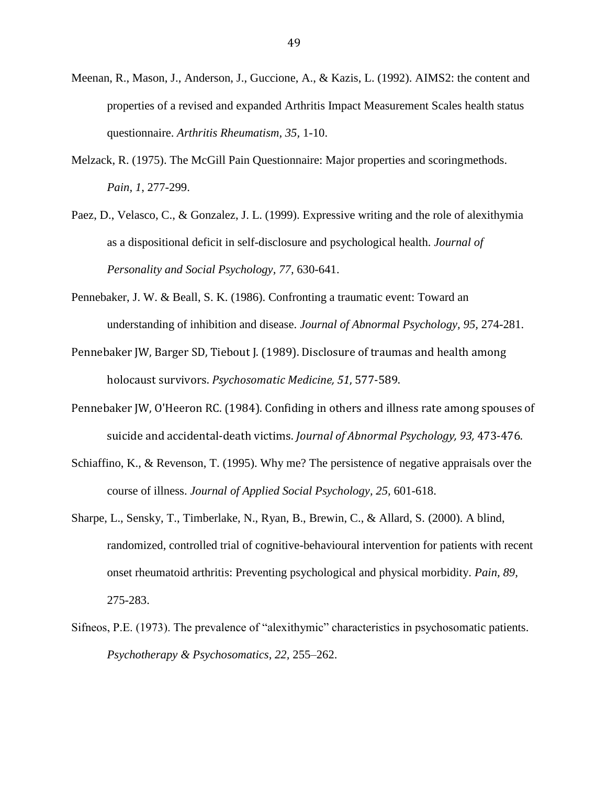- Meenan, R., Mason, J., Anderson, J., Guccione, A., & Kazis, L. (1992). AIMS2: the content and properties of a revised and expanded Arthritis Impact Measurement Scales health status questionnaire. *Arthritis Rheumatism, 35,* 1-10.
- Melzack, R. (1975). The McGill Pain Questionnaire: Major properties and scoringmethods. *Pain, 1*, 277-299.
- Paez, D., Velasco, C., & Gonzalez, J. L. (1999). Expressive writing and the role of alexithymia as a dispositional deficit in self-disclosure and psychological health. *Journal of Personality and Social Psychology, 77,* 630-641.
- Pennebaker, J. W. & Beall, S. K. (1986). Confronting a traumatic event: Toward an understanding of inhibition and disease. *Journal of Abnormal Psychology, 95,* 274-281.
- Pennebaker JW, Barger SD, Tiebout J. (1989). Disclosure of traumas and health among holocaust survivors. *Psychosomatic Medicine, 51*, 577-589.
- Pennebaker JW, O'Heeron RC. (1984). Confiding in others and illness rate among spouses of suicide and accidental-death victims. *Journal of Abnormal Psychology, 93,* 473-476.
- Schiaffino, K., & Revenson, T. (1995). Why me? The persistence of negative appraisals over the course of illness. *Journal of Applied Social Psychology, 25,* 601-618.
- Sharpe, L., Sensky, T., Timberlake, N., Ryan, B., Brewin, C., & Allard, S. (2000). A blind, randomized, controlled trial of cognitive-behavioural intervention for patients with recent onset rheumatoid arthritis: Preventing psychological and physical morbidity. *Pain, 89,* 275-283.
- Sifneos, P.E. (1973). The prevalence of "alexithymic" characteristics in psychosomatic patients. *Psychotherapy & Psychosomatics, 22,* 255–262.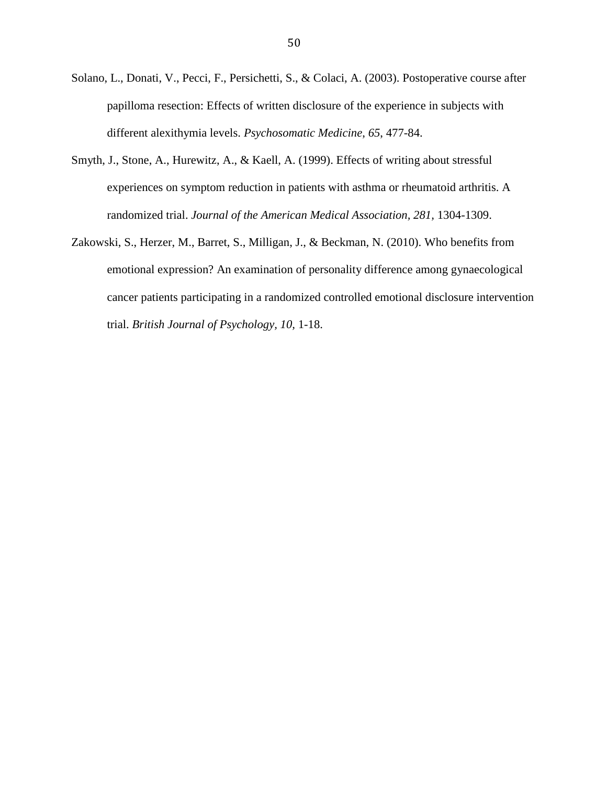- Solano, L., Donati, V., Pecci, F., Persichetti, S., & Colaci, A. (2003). Postoperative course after papilloma resection: Effects of written disclosure of the experience in subjects with different alexithymia levels. *Psychosomatic Medicine*, *65*, 477-84.
- Smyth, J., Stone, A., Hurewitz, A., & Kaell, A. (1999). Effects of writing about stressful experiences on symptom reduction in patients with asthma or rheumatoid arthritis. A randomized trial. *Journal of the American Medical Association, 281,* 1304-1309.
- Zakowski, S., Herzer, M., Barret, S., Milligan, J., & Beckman, N. (2010). Who benefits from emotional expression? An examination of personality difference among gynaecological cancer patients participating in a randomized controlled emotional disclosure intervention trial. *British Journal of Psychology, 10,* 1-18.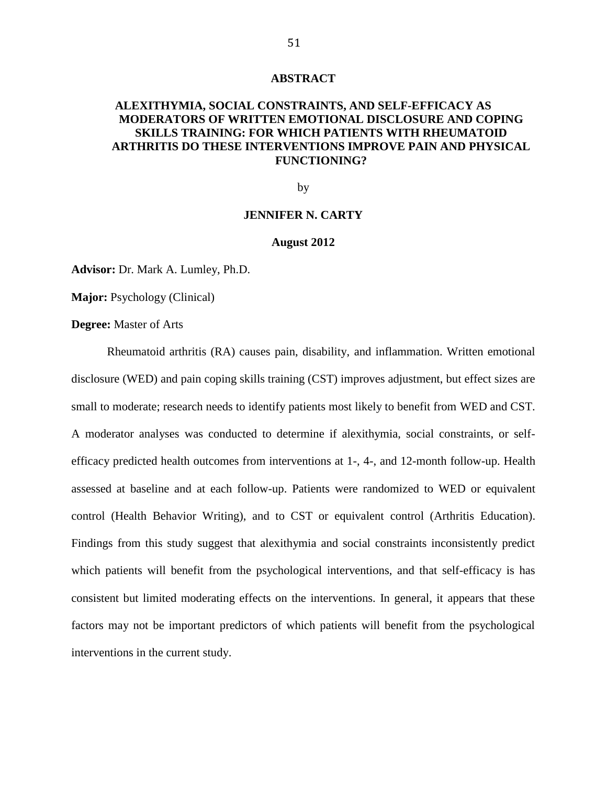#### **ABSTRACT**

# **ALEXITHYMIA, SOCIAL CONSTRAINTS, AND SELF-EFFICACY AS MODERATORS OF WRITTEN EMOTIONAL DISCLOSURE AND COPING SKILLS TRAINING: FOR WHICH PATIENTS WITH RHEUMATOID ARTHRITIS DO THESE INTERVENTIONS IMPROVE PAIN AND PHYSICAL FUNCTIONING?**

by

## **JENNIFER N. CARTY**

#### **August 2012**

**Advisor:** Dr. Mark A. Lumley, Ph.D.

**Major:** Psychology (Clinical)

**Degree:** Master of Arts

Rheumatoid arthritis (RA) causes pain, disability, and inflammation. Written emotional disclosure (WED) and pain coping skills training (CST) improves adjustment, but effect sizes are small to moderate; research needs to identify patients most likely to benefit from WED and CST. A moderator analyses was conducted to determine if alexithymia, social constraints, or selfefficacy predicted health outcomes from interventions at 1-, 4-, and 12-month follow-up. Health assessed at baseline and at each follow-up. Patients were randomized to WED or equivalent control (Health Behavior Writing), and to CST or equivalent control (Arthritis Education). Findings from this study suggest that alexithymia and social constraints inconsistently predict which patients will benefit from the psychological interventions, and that self-efficacy is has consistent but limited moderating effects on the interventions. In general, it appears that these factors may not be important predictors of which patients will benefit from the psychological interventions in the current study.